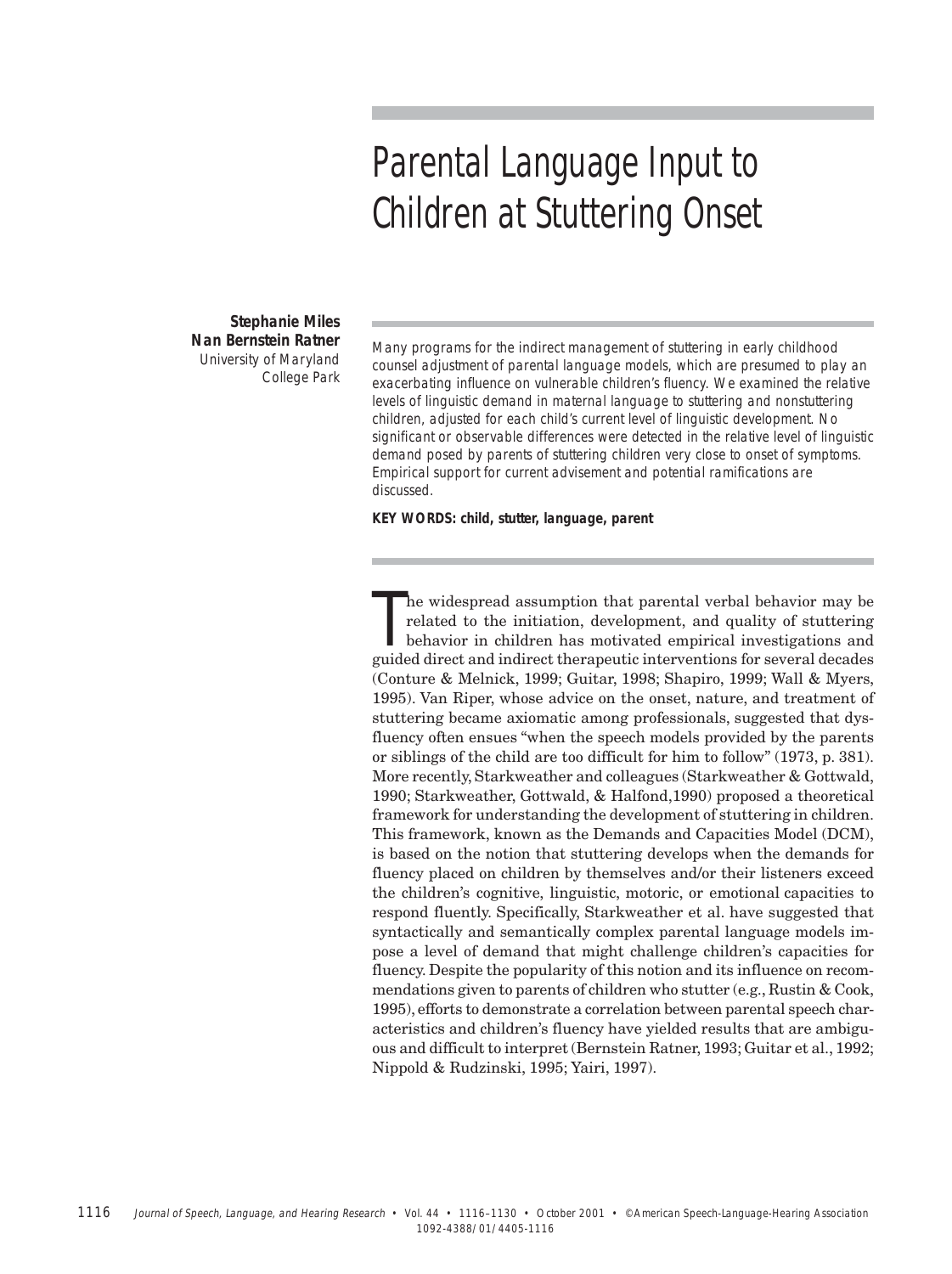# Parental Language Input to Children at Stuttering Onset

**Stephanie Miles Nan Bernstein Ratner** University of Maryland College Park

Many programs for the indirect management of stuttering in early childhood counsel adjustment of parental language models, which are presumed to play an exacerbating influence on vulnerable children's fluency. We examined the relative levels of linguistic demand in maternal language to stuttering and nonstuttering children, adjusted for each child's current level of linguistic development. No significant or observable differences were detected in the relative level of linguistic demand posed by parents of stuttering children very close to onset of symptoms. Empirical support for current advisement and potential ramifications are discussed.

**KEY WORDS: child, stutter, language, parent**

The widespread assumption that parental verbal behavior may be related to the initiation, development, and quality of stuttering behavior in children has motivated empirical investigations and guided direct and indirect th he widespread assumption that parental verbal behavior may be related to the initiation, development, and quality of stuttering behavior in children has motivated empirical investigations and (Conture & Melnick, 1999; Guitar, 1998; Shapiro, 1999; Wall & Myers, 1995). Van Riper, whose advice on the onset, nature, and treatment of stuttering became axiomatic among professionals, suggested that dysfluency often ensues "when the speech models provided by the parents or siblings of the child are too difficult for him to follow" (1973, p. 381). More recently, Starkweather and colleagues (Starkweather & Gottwald, 1990; Starkweather, Gottwald, & Halfond,1990) proposed a theoretical framework for understanding the development of stuttering in children. This framework, known as the Demands and Capacities Model (DCM), is based on the notion that stuttering develops when the demands for fluency placed on children by themselves and/or their listeners exceed the children's cognitive, linguistic, motoric, or emotional capacities to respond fluently. Specifically, Starkweather et al. have suggested that syntactically and semantically complex parental language models impose a level of demand that might challenge children's capacities for fluency. Despite the popularity of this notion and its influence on recommendations given to parents of children who stutter (e.g., Rustin & Cook, 1995), efforts to demonstrate a correlation between parental speech characteristics and children's fluency have yielded results that are ambiguous and difficult to interpret (Bernstein Ratner, 1993; Guitar et al., 1992; Nippold & Rudzinski, 1995; Yairi, 1997).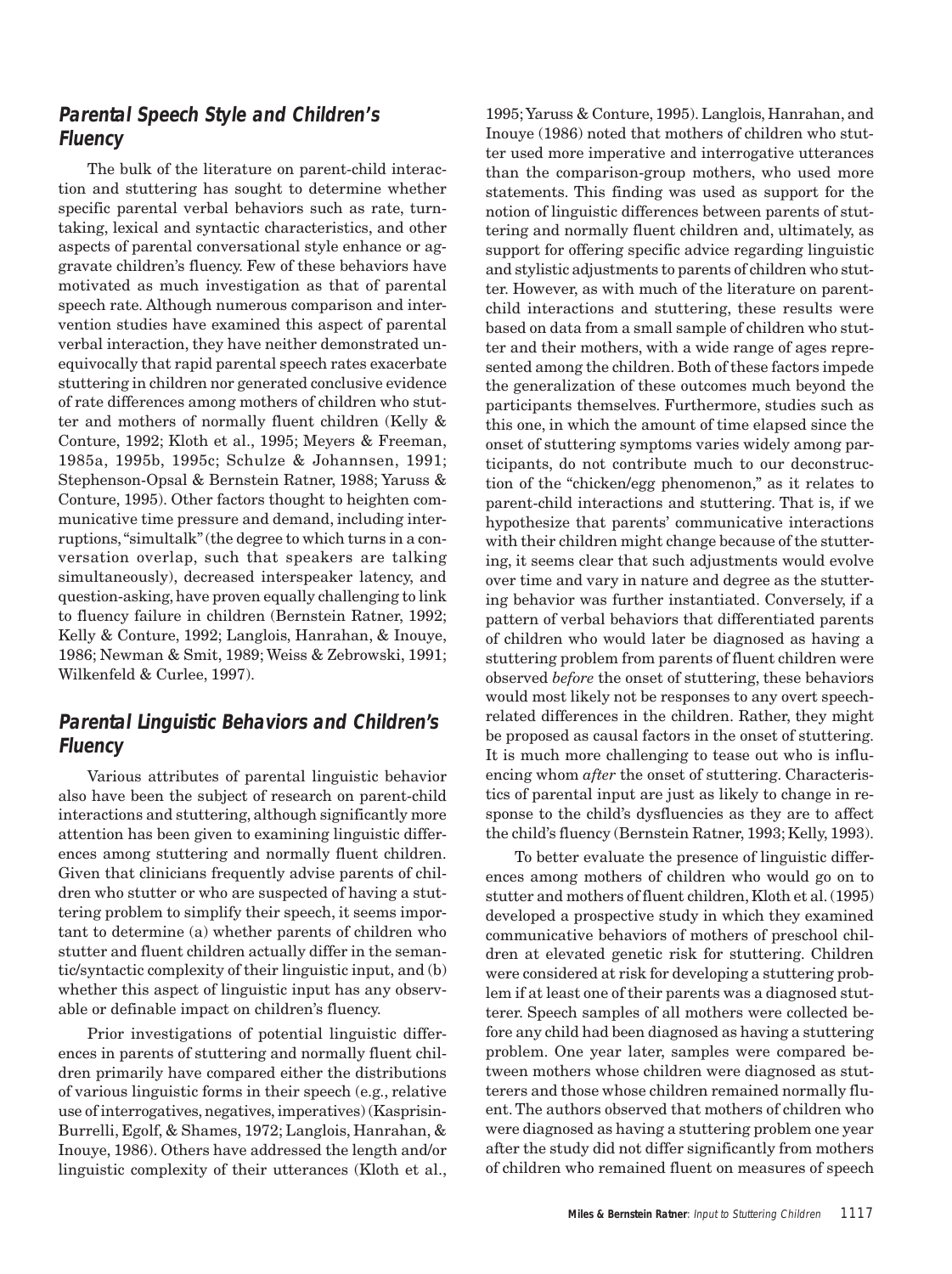## **Parental Speech Style and Children's Fluency**

The bulk of the literature on parent-child interaction and stuttering has sought to determine whether specific parental verbal behaviors such as rate, turntaking, lexical and syntactic characteristics, and other aspects of parental conversational style enhance or aggravate children's fluency. Few of these behaviors have motivated as much investigation as that of parental speech rate. Although numerous comparison and intervention studies have examined this aspect of parental verbal interaction, they have neither demonstrated unequivocally that rapid parental speech rates exacerbate stuttering in children nor generated conclusive evidence of rate differences among mothers of children who stutter and mothers of normally fluent children (Kelly & Conture, 1992; Kloth et al., 1995; Meyers & Freeman, 1985a, 1995b, 1995c; Schulze & Johannsen, 1991; Stephenson-Opsal & Bernstein Ratner, 1988; Yaruss & Conture, 1995). Other factors thought to heighten communicative time pressure and demand, including interruptions, "simultalk" (the degree to which turns in a conversation overlap, such that speakers are talking simultaneously), decreased interspeaker latency, and question-asking, have proven equally challenging to link to fluency failure in children (Bernstein Ratner, 1992; Kelly & Conture, 1992; Langlois, Hanrahan, & Inouye, 1986; Newman & Smit, 1989; Weiss & Zebrowski, 1991; Wilkenfeld & Curlee, 1997).

## **Parental Linguistic Behaviors and Children's Fluency**

Various attributes of parental linguistic behavior also have been the subject of research on parent-child interactions and stuttering, although significantly more attention has been given to examining linguistic differences among stuttering and normally fluent children. Given that clinicians frequently advise parents of children who stutter or who are suspected of having a stuttering problem to simplify their speech, it seems important to determine (a) whether parents of children who stutter and fluent children actually differ in the semantic/syntactic complexity of their linguistic input, and (b) whether this aspect of linguistic input has any observable or definable impact on children's fluency.

Prior investigations of potential linguistic differences in parents of stuttering and normally fluent children primarily have compared either the distributions of various linguistic forms in their speech (e.g., relative use of interrogatives, negatives, imperatives) (Kasprisin-Burrelli, Egolf, & Shames, 1972; Langlois, Hanrahan, & Inouye, 1986). Others have addressed the length and/or linguistic complexity of their utterances (Kloth et al., 1995; Yaruss & Conture, 1995). Langlois, Hanrahan, and Inouye (1986) noted that mothers of children who stutter used more imperative and interrogative utterances than the comparison-group mothers, who used more statements. This finding was used as support for the notion of linguistic differences between parents of stuttering and normally fluent children and, ultimately, as support for offering specific advice regarding linguistic and stylistic adjustments to parents of children who stutter. However, as with much of the literature on parentchild interactions and stuttering, these results were based on data from a small sample of children who stutter and their mothers, with a wide range of ages represented among the children. Both of these factors impede the generalization of these outcomes much beyond the participants themselves. Furthermore, studies such as this one, in which the amount of time elapsed since the onset of stuttering symptoms varies widely among participants, do not contribute much to our deconstruction of the "chicken/egg phenomenon," as it relates to parent-child interactions and stuttering. That is, if we hypothesize that parents' communicative interactions with their children might change because of the stuttering, it seems clear that such adjustments would evolve over time and vary in nature and degree as the stuttering behavior was further instantiated. Conversely, if a pattern of verbal behaviors that differentiated parents of children who would later be diagnosed as having a stuttering problem from parents of fluent children were observed *before* the onset of stuttering, these behaviors would most likely not be responses to any overt speechrelated differences in the children. Rather, they might be proposed as causal factors in the onset of stuttering. It is much more challenging to tease out who is influencing whom *after* the onset of stuttering. Characteristics of parental input are just as likely to change in response to the child's dysfluencies as they are to affect the child's fluency (Bernstein Ratner, 1993; Kelly, 1993).

To better evaluate the presence of linguistic differences among mothers of children who would go on to stutter and mothers of fluent children, Kloth et al. (1995) developed a prospective study in which they examined communicative behaviors of mothers of preschool children at elevated genetic risk for stuttering. Children were considered at risk for developing a stuttering problem if at least one of their parents was a diagnosed stutterer. Speech samples of all mothers were collected before any child had been diagnosed as having a stuttering problem. One year later, samples were compared between mothers whose children were diagnosed as stutterers and those whose children remained normally fluent. The authors observed that mothers of children who were diagnosed as having a stuttering problem one year after the study did not differ significantly from mothers of children who remained fluent on measures of speech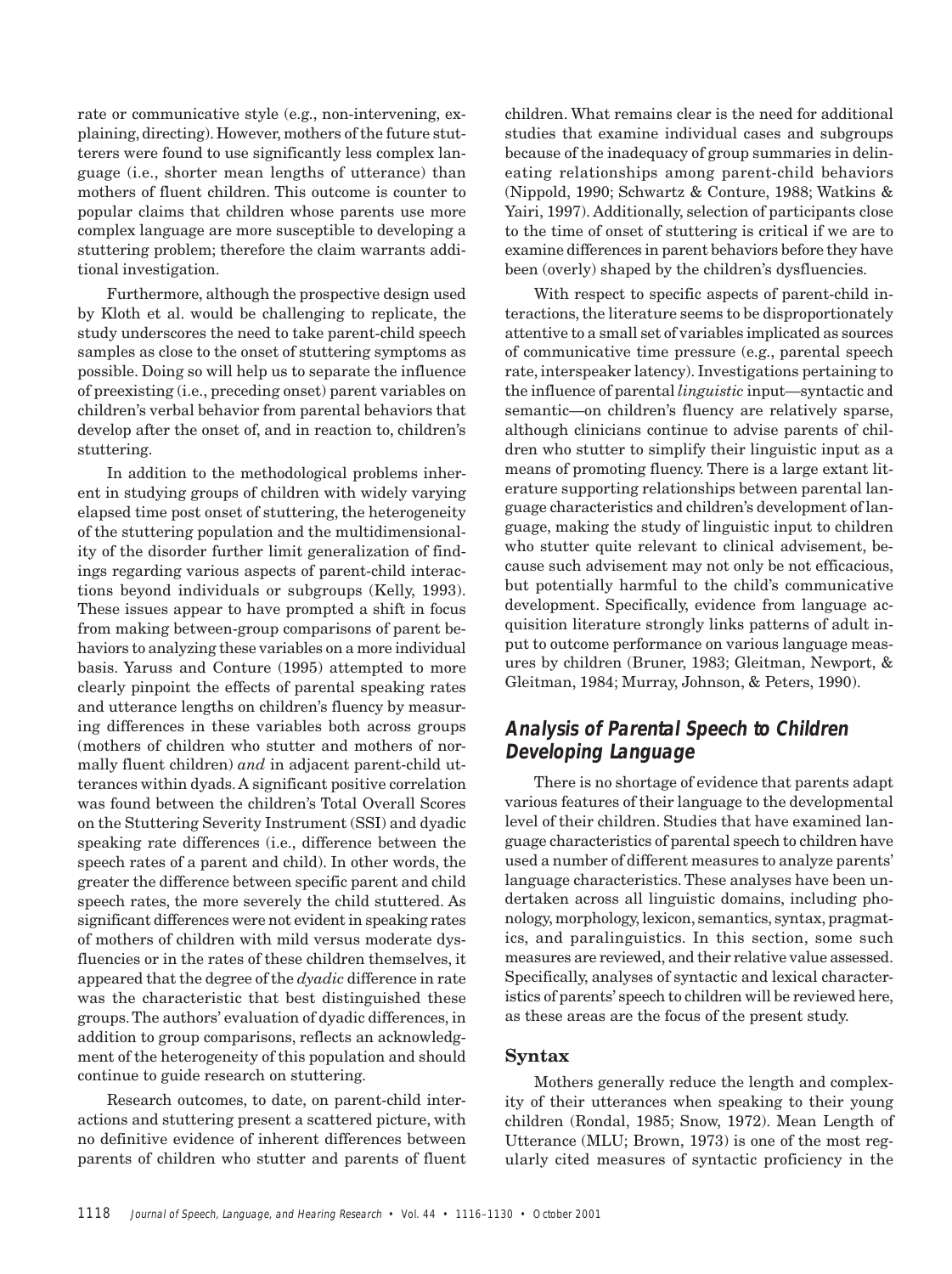rate or communicative style (e.g., non-intervening, explaining, directing). However, mothers of the future stutterers were found to use significantly less complex language (i.e., shorter mean lengths of utterance) than mothers of fluent children. This outcome is counter to popular claims that children whose parents use more complex language are more susceptible to developing a stuttering problem; therefore the claim warrants additional investigation.

Furthermore, although the prospective design used by Kloth et al. would be challenging to replicate, the study underscores the need to take parent-child speech samples as close to the onset of stuttering symptoms as possible. Doing so will help us to separate the influence of preexisting (i.e., preceding onset) parent variables on children's verbal behavior from parental behaviors that develop after the onset of, and in reaction to, children's stuttering.

In addition to the methodological problems inherent in studying groups of children with widely varying elapsed time post onset of stuttering, the heterogeneity of the stuttering population and the multidimensionality of the disorder further limit generalization of findings regarding various aspects of parent-child interactions beyond individuals or subgroups (Kelly, 1993). These issues appear to have prompted a shift in focus from making between-group comparisons of parent behaviors to analyzing these variables on a more individual basis. Yaruss and Conture (1995) attempted to more clearly pinpoint the effects of parental speaking rates and utterance lengths on children's fluency by measuring differences in these variables both across groups (mothers of children who stutter and mothers of normally fluent children) *and* in adjacent parent-child utterances within dyads. A significant positive correlation was found between the children's Total Overall Scores on the Stuttering Severity Instrument (SSI) and dyadic speaking rate differences (i.e., difference between the speech rates of a parent and child). In other words, the greater the difference between specific parent and child speech rates, the more severely the child stuttered. As significant differences were not evident in speaking rates of mothers of children with mild versus moderate dysfluencies or in the rates of these children themselves, it appeared that the degree of the *dyadic* difference in rate was the characteristic that best distinguished these groups. The authors' evaluation of dyadic differences, in addition to group comparisons, reflects an acknowledgment of the heterogeneity of this population and should continue to guide research on stuttering.

Research outcomes, to date, on parent-child interactions and stuttering present a scattered picture, with no definitive evidence of inherent differences between parents of children who stutter and parents of fluent children. What remains clear is the need for additional studies that examine individual cases and subgroups because of the inadequacy of group summaries in delineating relationships among parent-child behaviors (Nippold, 1990; Schwartz & Conture, 1988; Watkins & Yairi, 1997). Additionally, selection of participants close to the time of onset of stuttering is critical if we are to examine differences in parent behaviors before they have been (overly) shaped by the children's dysfluencies.

With respect to specific aspects of parent-child interactions, the literature seems to be disproportionately attentive to a small set of variables implicated as sources of communicative time pressure (e.g., parental speech rate, interspeaker latency). Investigations pertaining to the influence of parental *linguistic* input—syntactic and semantic—on children's fluency are relatively sparse, although clinicians continue to advise parents of children who stutter to simplify their linguistic input as a means of promoting fluency. There is a large extant literature supporting relationships between parental language characteristics and children's development of language, making the study of linguistic input to children who stutter quite relevant to clinical advisement, because such advisement may not only be not efficacious, but potentially harmful to the child's communicative development. Specifically, evidence from language acquisition literature strongly links patterns of adult input to outcome performance on various language measures by children (Bruner, 1983; Gleitman, Newport, & Gleitman, 1984; Murray, Johnson, & Peters, 1990).

## **Analysis of Parental Speech to Children Developing Language**

There is no shortage of evidence that parents adapt various features of their language to the developmental level of their children. Studies that have examined language characteristics of parental speech to children have used a number of different measures to analyze parents' language characteristics. These analyses have been undertaken across all linguistic domains, including phonology, morphology, lexicon, semantics, syntax, pragmatics, and paralinguistics. In this section, some such measures are reviewed, and their relative value assessed. Specifically, analyses of syntactic and lexical characteristics of parents' speech to children will be reviewed here, as these areas are the focus of the present study.

#### **Syntax**

Mothers generally reduce the length and complexity of their utterances when speaking to their young children (Rondal, 1985; Snow, 1972). Mean Length of Utterance (MLU; Brown, 1973) is one of the most regularly cited measures of syntactic proficiency in the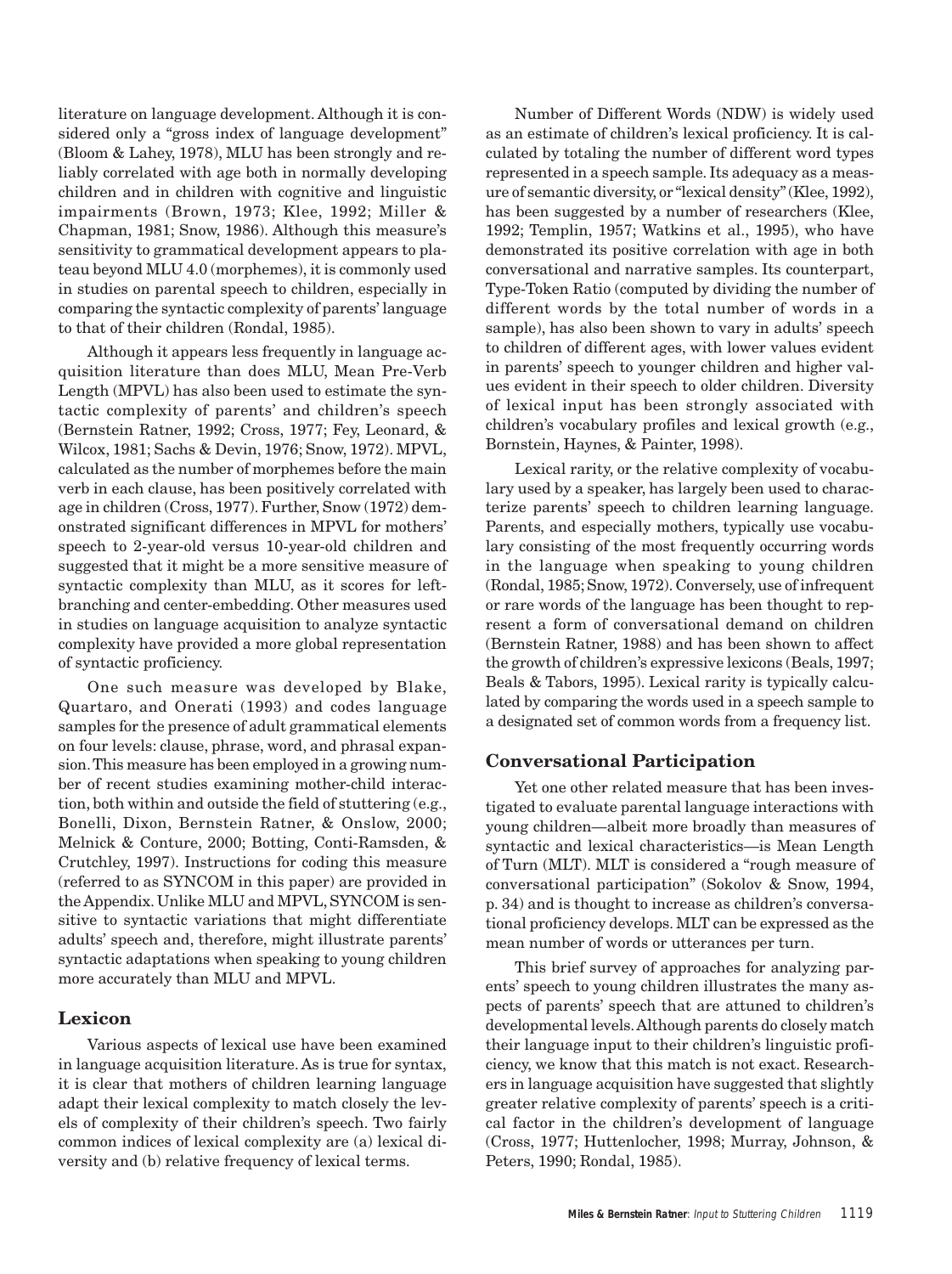literature on language development. Although it is considered only a "gross index of language development" (Bloom & Lahey, 1978), MLU has been strongly and reliably correlated with age both in normally developing children and in children with cognitive and linguistic impairments (Brown, 1973; Klee, 1992; Miller & Chapman, 1981; Snow, 1986). Although this measure's sensitivity to grammatical development appears to plateau beyond MLU 4.0 (morphemes), it is commonly used in studies on parental speech to children, especially in comparing the syntactic complexity of parents' language to that of their children (Rondal, 1985).

Although it appears less frequently in language acquisition literature than does MLU, Mean Pre-Verb Length (MPVL) has also been used to estimate the syntactic complexity of parents' and children's speech (Bernstein Ratner, 1992; Cross, 1977; Fey, Leonard, & Wilcox, 1981; Sachs & Devin, 1976; Snow, 1972). MPVL, calculated as the number of morphemes before the main verb in each clause, has been positively correlated with age in children (Cross, 1977). Further, Snow (1972) demonstrated significant differences in MPVL for mothers' speech to 2-year-old versus 10-year-old children and suggested that it might be a more sensitive measure of syntactic complexity than MLU, as it scores for leftbranching and center-embedding. Other measures used in studies on language acquisition to analyze syntactic complexity have provided a more global representation of syntactic proficiency.

One such measure was developed by Blake, Quartaro, and Onerati (1993) and codes language samples for the presence of adult grammatical elements on four levels: clause, phrase, word, and phrasal expansion. This measure has been employed in a growing number of recent studies examining mother-child interaction, both within and outside the field of stuttering (e.g., Bonelli, Dixon, Bernstein Ratner, & Onslow, 2000; Melnick & Conture, 2000; Botting, Conti-Ramsden, & Crutchley, 1997). Instructions for coding this measure (referred to as SYNCOM in this paper) are provided in the Appendix. Unlike MLU and MPVL, SYNCOM is sensitive to syntactic variations that might differentiate adults' speech and, therefore, might illustrate parents' syntactic adaptations when speaking to young children more accurately than MLU and MPVL.

#### **Lexicon**

Various aspects of lexical use have been examined in language acquisition literature. As is true for syntax, it is clear that mothers of children learning language adapt their lexical complexity to match closely the levels of complexity of their children's speech. Two fairly common indices of lexical complexity are (a) lexical diversity and (b) relative frequency of lexical terms.

Number of Different Words (NDW) is widely used as an estimate of children's lexical proficiency. It is calculated by totaling the number of different word types represented in a speech sample. Its adequacy as a measure of semantic diversity, or "lexical density" (Klee, 1992), has been suggested by a number of researchers (Klee, 1992; Templin, 1957; Watkins et al., 1995), who have demonstrated its positive correlation with age in both conversational and narrative samples. Its counterpart, Type-Token Ratio (computed by dividing the number of different words by the total number of words in a sample), has also been shown to vary in adults' speech to children of different ages, with lower values evident in parents' speech to younger children and higher values evident in their speech to older children. Diversity of lexical input has been strongly associated with children's vocabulary profiles and lexical growth (e.g., Bornstein, Haynes, & Painter, 1998).

Lexical rarity, or the relative complexity of vocabulary used by a speaker, has largely been used to characterize parents' speech to children learning language. Parents, and especially mothers, typically use vocabulary consisting of the most frequently occurring words in the language when speaking to young children (Rondal, 1985; Snow, 1972). Conversely, use of infrequent or rare words of the language has been thought to represent a form of conversational demand on children (Bernstein Ratner, 1988) and has been shown to affect the growth of children's expressive lexicons (Beals, 1997; Beals & Tabors, 1995). Lexical rarity is typically calculated by comparing the words used in a speech sample to a designated set of common words from a frequency list.

#### **Conversational Participation**

Yet one other related measure that has been investigated to evaluate parental language interactions with young children—albeit more broadly than measures of syntactic and lexical characteristics—is Mean Length of Turn (MLT). MLT is considered a "rough measure of conversational participation" (Sokolov & Snow, 1994, p. 34) and is thought to increase as children's conversational proficiency develops. MLT can be expressed as the mean number of words or utterances per turn.

This brief survey of approaches for analyzing parents' speech to young children illustrates the many aspects of parents' speech that are attuned to children's developmental levels. Although parents do closely match their language input to their children's linguistic proficiency, we know that this match is not exact. Researchers in language acquisition have suggested that slightly greater relative complexity of parents' speech is a critical factor in the children's development of language (Cross, 1977; Huttenlocher, 1998; Murray, Johnson, & Peters, 1990; Rondal, 1985).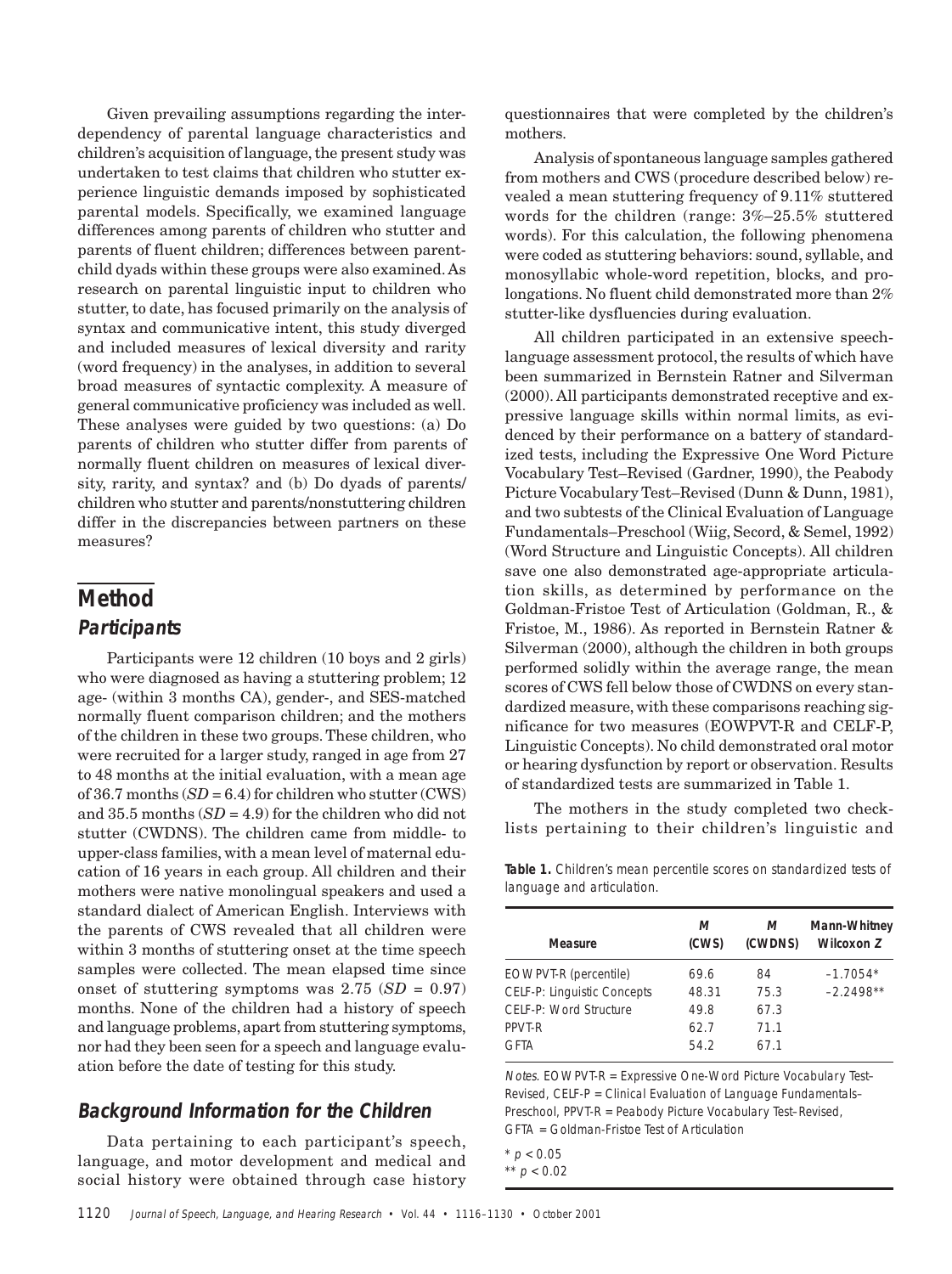Given prevailing assumptions regarding the interdependency of parental language characteristics and children's acquisition of language, the present study was undertaken to test claims that children who stutter experience linguistic demands imposed by sophisticated parental models. Specifically, we examined language differences among parents of children who stutter and parents of fluent children; differences between parentchild dyads within these groups were also examined. As research on parental linguistic input to children who stutter, to date, has focused primarily on the analysis of syntax and communicative intent, this study diverged and included measures of lexical diversity and rarity (word frequency) in the analyses, in addition to several broad measures of syntactic complexity. A measure of general communicative proficiency was included as well. These analyses were guided by two questions: (a) Do parents of children who stutter differ from parents of normally fluent children on measures of lexical diversity, rarity, and syntax? and (b) Do dyads of parents/ children who stutter and parents/nonstuttering children differ in the discrepancies between partners on these measures?

# **Method Participants**

Participants were 12 children (10 boys and 2 girls) who were diagnosed as having a stuttering problem; 12 age- (within 3 months CA), gender-, and SES-matched normally fluent comparison children; and the mothers of the children in these two groups. These children, who were recruited for a larger study, ranged in age from 27 to 48 months at the initial evaluation, with a mean age of  $36.7$  months  $(SD = 6.4)$  for children who stutter (CWS) and 35.5 months (*SD* = 4.9) for the children who did not stutter (CWDNS). The children came from middle- to upper-class families, with a mean level of maternal education of 16 years in each group. All children and their mothers were native monolingual speakers and used a standard dialect of American English. Interviews with the parents of CWS revealed that all children were within 3 months of stuttering onset at the time speech samples were collected. The mean elapsed time since onset of stuttering symptoms was  $2.75$  ( $SD = 0.97$ ) months. None of the children had a history of speech and language problems, apart from stuttering symptoms, nor had they been seen for a speech and language evaluation before the date of testing for this study.

## **Background Information for the Children**

Data pertaining to each participant's speech, language, and motor development and medical and social history were obtained through case history questionnaires that were completed by the children's mothers.

Analysis of spontaneous language samples gathered from mothers and CWS (procedure described below) revealed a mean stuttering frequency of 9.11% stuttered words for the children (range: 3%–25.5% stuttered words). For this calculation, the following phenomena were coded as stuttering behaviors: sound, syllable, and monosyllabic whole-word repetition, blocks, and prolongations. No fluent child demonstrated more than 2% stutter-like dysfluencies during evaluation.

All children participated in an extensive speechlanguage assessment protocol, the results of which have been summarized in Bernstein Ratner and Silverman (2000). All participants demonstrated receptive and expressive language skills within normal limits, as evidenced by their performance on a battery of standardized tests, including the Expressive One Word Picture Vocabulary Test–Revised (Gardner, 1990), the Peabody Picture Vocabulary Test–Revised (Dunn & Dunn, 1981), and two subtests of the Clinical Evaluation of Language Fundamentals–Preschool (Wiig, Secord, & Semel, 1992) (Word Structure and Linguistic Concepts). All children save one also demonstrated age-appropriate articulation skills, as determined by performance on the Goldman-Fristoe Test of Articulation (Goldman, R., & Fristoe, M., 1986). As reported in Bernstein Ratner & Silverman (2000), although the children in both groups performed solidly within the average range, the mean scores of CWS fell below those of CWDNS on every standardized measure, with these comparisons reaching significance for two measures (EOWPVT-R and CELF-P, Linguistic Concepts). No child demonstrated oral motor or hearing dysfunction by report or observation. Results of standardized tests are summarized in Table 1.

The mothers in the study completed two checklists pertaining to their children's linguistic and

**Table 1.** Children's mean percentile scores on standardized tests of language and articulation.

| Measure                            | м<br>(CWS) | м<br>(CWDNS) | Mann-Whitney<br>Wilcoxon Z |
|------------------------------------|------------|--------------|----------------------------|
| EOWPVT-R (percentile)              | 69.6       | 84           | $-1.7054*$                 |
| <b>CELF-P: Linguistic Concepts</b> | 48.31      | 75.3         | $-2.2498**$                |
| CELF-P: Word Structure             | 49.8       | 67.3         |                            |
| PPVT-R                             | 62.7       | 71.1         |                            |
| <b>GFTA</b>                        | 54.2       | 67.1         |                            |

Notes. EOWPVT-R = Expressive One-Word Picture Vocabulary Test– Revised, CELF-P = Clinical Evaluation of Language Fundamentals– Preschool, PPVT-R = Peabody Picture Vocabulary Test–Revised, GFTA = Goldman-Fristoe Test of Articulation

| p < 0.05 |
|----------|
| p < 0.02 |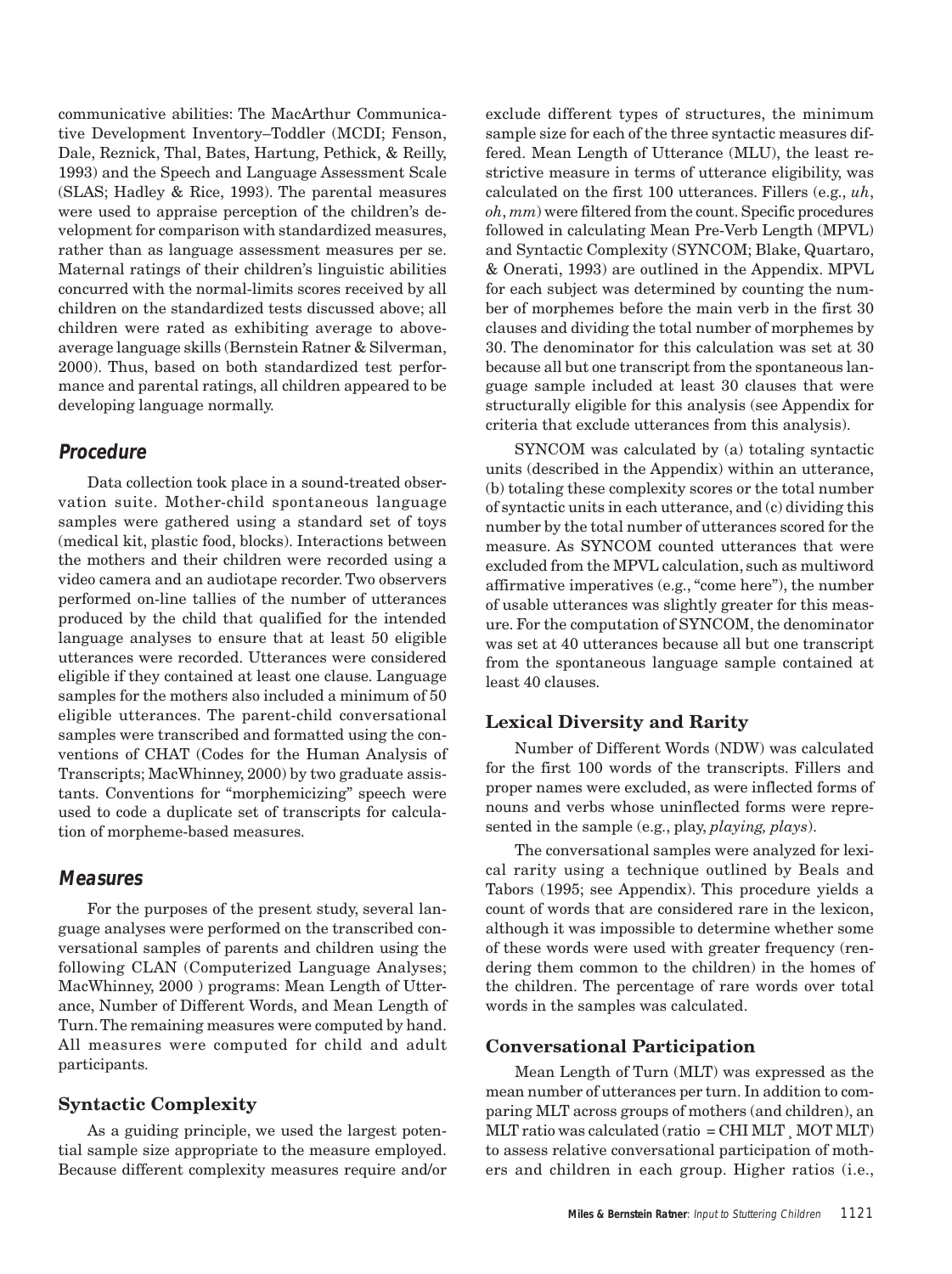communicative abilities: The MacArthur Communicative Development Inventory–Toddler (MCDI; Fenson, Dale, Reznick, Thal, Bates, Hartung, Pethick, & Reilly, 1993) and the Speech and Language Assessment Scale (SLAS; Hadley & Rice, 1993). The parental measures were used to appraise perception of the children's development for comparison with standardized measures, rather than as language assessment measures per se. Maternal ratings of their children's linguistic abilities concurred with the normal-limits scores received by all children on the standardized tests discussed above; all children were rated as exhibiting average to aboveaverage language skills (Bernstein Ratner & Silverman, 2000). Thus, based on both standardized test performance and parental ratings, all children appeared to be developing language normally.

## **Procedure**

Data collection took place in a sound-treated observation suite. Mother-child spontaneous language samples were gathered using a standard set of toys (medical kit, plastic food, blocks). Interactions between the mothers and their children were recorded using a video camera and an audiotape recorder. Two observers performed on-line tallies of the number of utterances produced by the child that qualified for the intended language analyses to ensure that at least 50 eligible utterances were recorded. Utterances were considered eligible if they contained at least one clause. Language samples for the mothers also included a minimum of 50 eligible utterances. The parent-child conversational samples were transcribed and formatted using the conventions of CHAT (Codes for the Human Analysis of Transcripts; MacWhinney, 2000) by two graduate assistants. Conventions for "morphemicizing" speech were used to code a duplicate set of transcripts for calculation of morpheme-based measures.

## **Measures**

For the purposes of the present study, several language analyses were performed on the transcribed conversational samples of parents and children using the following CLAN (Computerized Language Analyses; MacWhinney, 2000 ) programs: Mean Length of Utterance, Number of Different Words, and Mean Length of Turn. The remaining measures were computed by hand. All measures were computed for child and adult participants.

## **Syntactic Complexity**

As a guiding principle, we used the largest potential sample size appropriate to the measure employed. Because different complexity measures require and/or exclude different types of structures, the minimum sample size for each of the three syntactic measures differed. Mean Length of Utterance (MLU), the least restrictive measure in terms of utterance eligibility, was calculated on the first 100 utterances. Fillers (e.g., *uh*, *oh*, *mm*) were filtered from the count. Specific procedures followed in calculating Mean Pre-Verb Length (MPVL) and Syntactic Complexity (SYNCOM; Blake, Quartaro, & Onerati, 1993) are outlined in the Appendix. MPVL for each subject was determined by counting the number of morphemes before the main verb in the first 30 clauses and dividing the total number of morphemes by 30. The denominator for this calculation was set at 30 because all but one transcript from the spontaneous language sample included at least 30 clauses that were structurally eligible for this analysis (see Appendix for criteria that exclude utterances from this analysis).

SYNCOM was calculated by (a) totaling syntactic units (described in the Appendix) within an utterance, (b) totaling these complexity scores or the total number of syntactic units in each utterance, and (c) dividing this number by the total number of utterances scored for the measure. As SYNCOM counted utterances that were excluded from the MPVL calculation, such as multiword affirmative imperatives (e.g., "come here"), the number of usable utterances was slightly greater for this measure. For the computation of SYNCOM, the denominator was set at 40 utterances because all but one transcript from the spontaneous language sample contained at least 40 clauses.

## **Lexical Diversity and Rarity**

Number of Different Words (NDW) was calculated for the first 100 words of the transcripts. Fillers and proper names were excluded, as were inflected forms of nouns and verbs whose uninflected forms were represented in the sample (e.g., play, *playing, plays*).

The conversational samples were analyzed for lexical rarity using a technique outlined by Beals and Tabors (1995; see Appendix). This procedure yields a count of words that are considered rare in the lexicon, although it was impossible to determine whether some of these words were used with greater frequency (rendering them common to the children) in the homes of the children. The percentage of rare words over total words in the samples was calculated.

#### **Conversational Participation**

Mean Length of Turn (MLT) was expressed as the mean number of utterances per turn. In addition to comparing MLT across groups of mothers (and children), an MLT ratio was calculated (ratio = CHI MLT ¸ MOT MLT) to assess relative conversational participation of mothers and children in each group. Higher ratios (i.e.,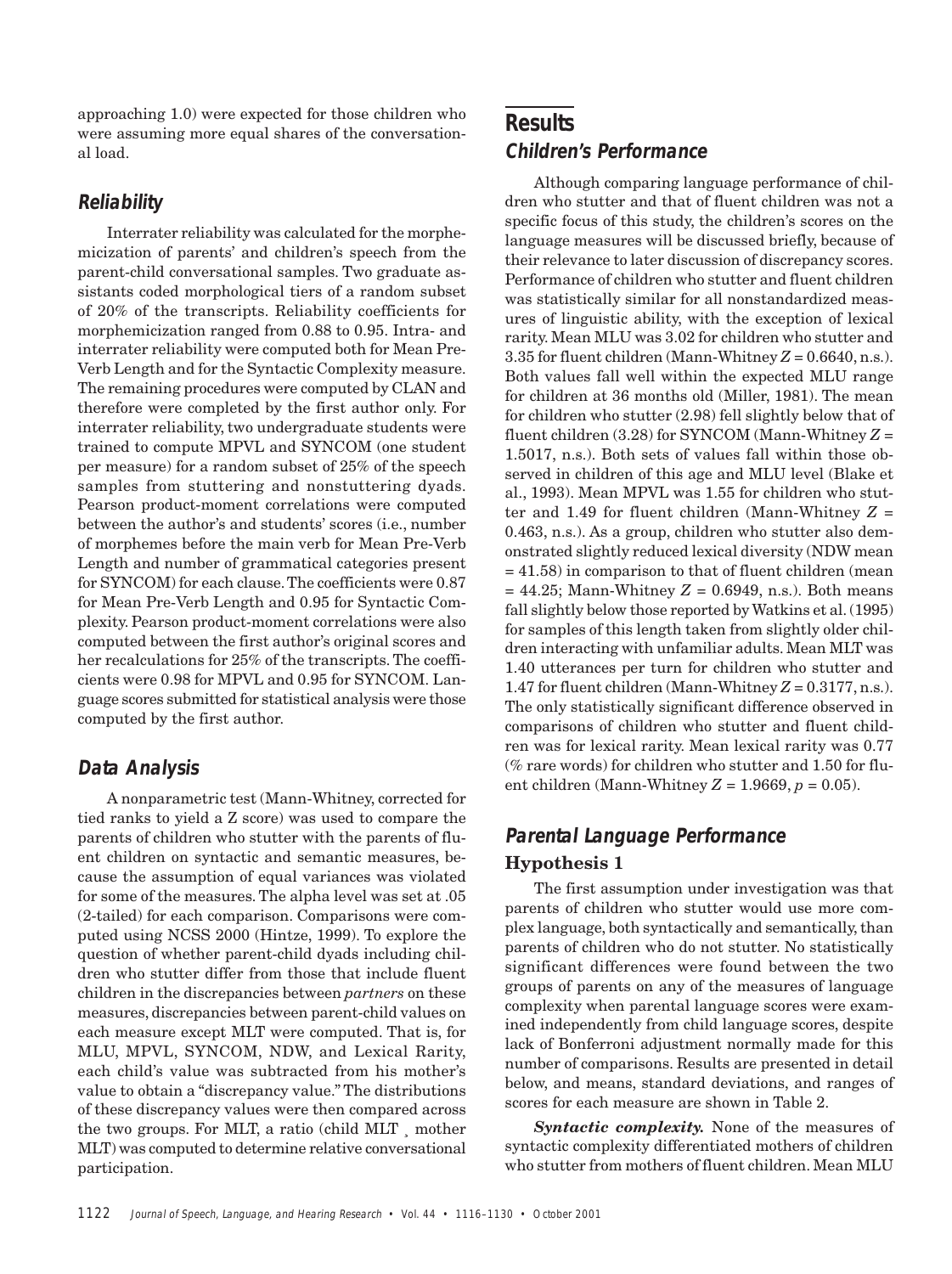approaching 1.0) were expected for those children who were assuming more equal shares of the conversational load.

## **Reliability**

Interrater reliability was calculated for the morphemicization of parents' and children's speech from the parent-child conversational samples. Two graduate assistants coded morphological tiers of a random subset of 20% of the transcripts. Reliability coefficients for morphemicization ranged from 0.88 to 0.95. Intra- and interrater reliability were computed both for Mean Pre-Verb Length and for the Syntactic Complexity measure. The remaining procedures were computed by CLAN and therefore were completed by the first author only. For interrater reliability, two undergraduate students were trained to compute MPVL and SYNCOM (one student per measure) for a random subset of 25% of the speech samples from stuttering and nonstuttering dyads. Pearson product-moment correlations were computed between the author's and students' scores (i.e., number of morphemes before the main verb for Mean Pre-Verb Length and number of grammatical categories present for SYNCOM) for each clause. The coefficients were 0.87 for Mean Pre-Verb Length and 0.95 for Syntactic Complexity. Pearson product-moment correlations were also computed between the first author's original scores and her recalculations for 25% of the transcripts. The coefficients were 0.98 for MPVL and 0.95 for SYNCOM. Language scores submitted for statistical analysis were those computed by the first author.

## **Data Analysis**

A nonparametric test (Mann-Whitney, corrected for tied ranks to yield a Z score) was used to compare the parents of children who stutter with the parents of fluent children on syntactic and semantic measures, because the assumption of equal variances was violated for some of the measures. The alpha level was set at .05 (2-tailed) for each comparison. Comparisons were computed using NCSS 2000 (Hintze, 1999). To explore the question of whether parent-child dyads including children who stutter differ from those that include fluent children in the discrepancies between *partners* on these measures, discrepancies between parent-child values on each measure except MLT were computed. That is, for MLU, MPVL, SYNCOM, NDW, and Lexical Rarity, each child's value was subtracted from his mother's value to obtain a "discrepancy value." The distributions of these discrepancy values were then compared across the two groups. For MLT, a ratio (child MLT ¸ mother MLT) was computed to determine relative conversational participation.

## **Results Children's Performance**

Although comparing language performance of children who stutter and that of fluent children was not a specific focus of this study, the children's scores on the language measures will be discussed briefly, because of their relevance to later discussion of discrepancy scores. Performance of children who stutter and fluent children was statistically similar for all nonstandardized measures of linguistic ability, with the exception of lexical rarity. Mean MLU was 3.02 for children who stutter and 3.35 for fluent children (Mann-Whitney *Z* = 0.6640, n.s.). Both values fall well within the expected MLU range for children at 36 months old (Miller, 1981). The mean for children who stutter (2.98) fell slightly below that of fluent children  $(3.28)$  for SYNCOM (Mann-Whitney  $Z =$ 1.5017, n.s.). Both sets of values fall within those observed in children of this age and MLU level (Blake et al., 1993). Mean MPVL was 1.55 for children who stutter and 1.49 for fluent children (Mann-Whitney  $Z =$ 0.463, n.s.). As a group, children who stutter also demonstrated slightly reduced lexical diversity (NDW mean  $= 41.58$ ) in comparison to that of fluent children (mean  $= 44.25$ ; Mann-Whitney  $Z = 0.6949$ , n.s.). Both means fall slightly below those reported by Watkins et al. (1995) for samples of this length taken from slightly older children interacting with unfamiliar adults. Mean MLT was 1.40 utterances per turn for children who stutter and 1.47 for fluent children (Mann-Whitney  $Z = 0.3177$ , n.s.). The only statistically significant difference observed in comparisons of children who stutter and fluent children was for lexical rarity. Mean lexical rarity was 0.77 (% rare words) for children who stutter and 1.50 for fluent children (Mann-Whitney  $Z = 1.9669$ ,  $p = 0.05$ ).

## **Parental Language Performance Hypothesis 1**

The first assumption under investigation was that parents of children who stutter would use more complex language, both syntactically and semantically, than parents of children who do not stutter. No statistically significant differences were found between the two groups of parents on any of the measures of language complexity when parental language scores were examined independently from child language scores, despite lack of Bonferroni adjustment normally made for this number of comparisons. Results are presented in detail below, and means, standard deviations, and ranges of scores for each measure are shown in Table 2.

*Syntactic complexity.* None of the measures of syntactic complexity differentiated mothers of children who stutter from mothers of fluent children. Mean MLU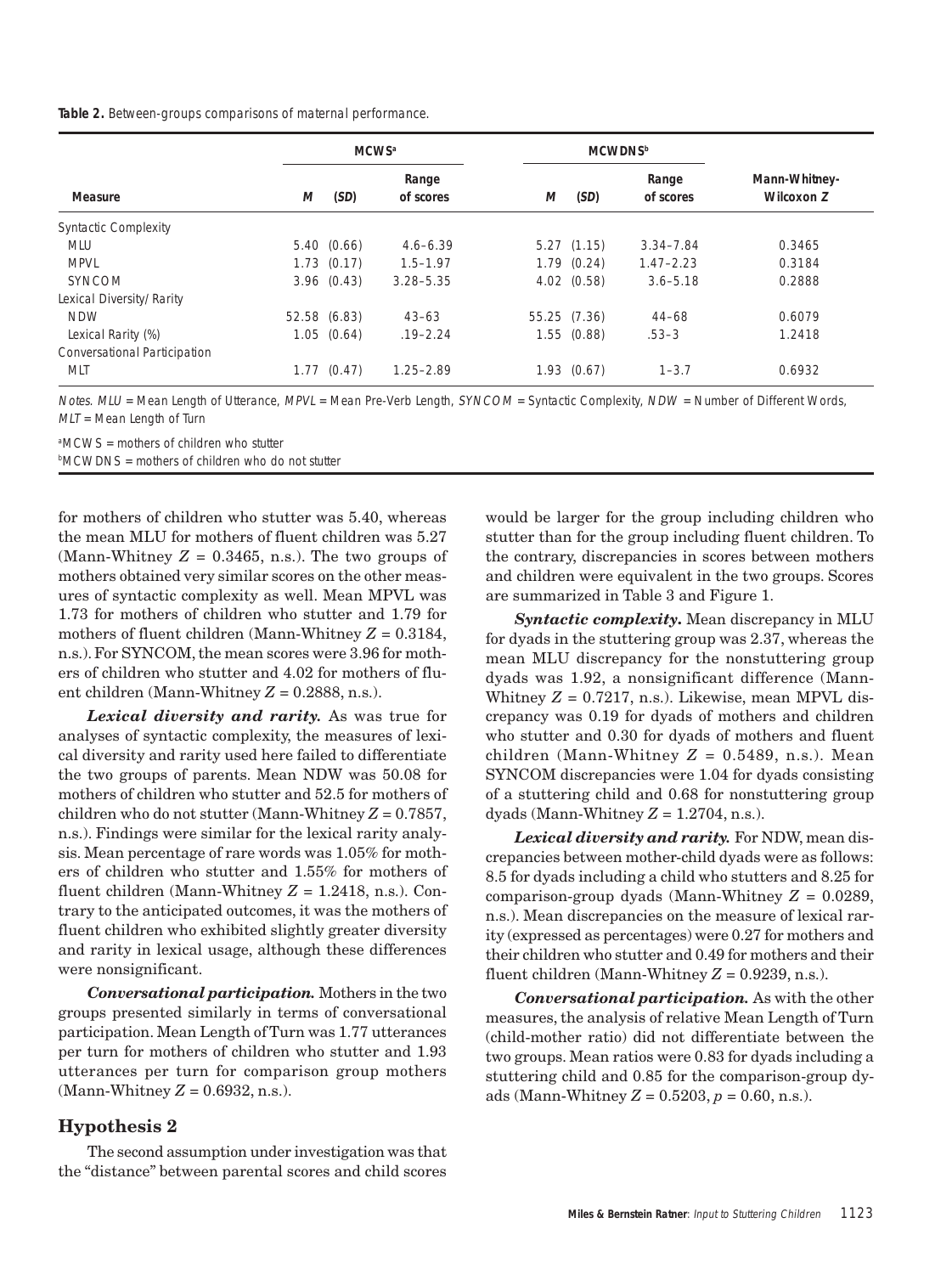|  |  | Table 2. Between-groups comparisons of maternal performance. |  |  |  |  |
|--|--|--------------------------------------------------------------|--|--|--|--|
|--|--|--------------------------------------------------------------|--|--|--|--|

|                              | <b>MCWS</b> <sup>a</sup> |              | <b>MCWDNS</b> <sup>b</sup> |   |              |                    |                             |
|------------------------------|--------------------------|--------------|----------------------------|---|--------------|--------------------|-----------------------------|
| Measure                      | М                        | (SD)         | Range<br>of scores         | М | (SD)         | Range<br>of scores | Mann-Whitney-<br>Wilcoxon Z |
| <b>Syntactic Complexity</b>  |                          |              |                            |   |              |                    |                             |
| <b>MLU</b>                   |                          | 5.40(0.66)   | $4.6 - 6.39$               |   | 5.27(1.15)   | $3.34 - 7.84$      | 0.3465                      |
| <b>MPVL</b>                  |                          | 1.73(0.17)   | $1.5 - 1.97$               |   | 1.79(0.24)   | $1.47 - 2.23$      | 0.3184                      |
| <b>SYNCOM</b>                |                          | 3.96(0.43)   | $3.28 - 5.35$              |   | 4.02(0.58)   | $3.6 - 5.18$       | 0.2888                      |
| Lexical Diversity/Rarity     |                          |              |                            |   |              |                    |                             |
| <b>NDW</b>                   |                          | 52.58 (6.83) | $43 - 63$                  |   | 55.25 (7.36) | $44 - 68$          | 0.6079                      |
| Lexical Rarity (%)           |                          | 1.05(0.64)   | $.19 - 2.24$               |   | 1.55(0.88)   | $.53 - 3$          | 1.2418                      |
| Conversational Participation |                          |              |                            |   |              |                    |                             |
| <b>MLT</b>                   |                          | 1.77(0.47)   | $1.25 - 2.89$              |   | 1.93(0.67)   | $1 - 3.7$          | 0.6932                      |

Notes. MLU = Mean Length of Utterance, MPVL = Mean Pre-Verb Length, SYNCOM = Syntactic Complexity, NDW = Number of Different Words,  $MLT$  = Mean Length of Turn

a MCWS = mothers of children who stutter

b MCWDNS = mothers of children who do not stutter

for mothers of children who stutter was 5.40, whereas the mean MLU for mothers of fluent children was 5.27 (Mann-Whitney  $Z = 0.3465$ , n.s.). The two groups of mothers obtained very similar scores on the other measures of syntactic complexity as well. Mean MPVL was 1.73 for mothers of children who stutter and 1.79 for mothers of fluent children (Mann-Whitney *Z* = 0.3184, n.s.). For SYNCOM, the mean scores were 3.96 for mothers of children who stutter and 4.02 for mothers of fluent children (Mann-Whitney  $Z = 0.2888$ , n.s.).

*Lexical diversity and rarity.* As was true for analyses of syntactic complexity, the measures of lexical diversity and rarity used here failed to differentiate the two groups of parents. Mean NDW was 50.08 for mothers of children who stutter and 52.5 for mothers of children who do not stutter (Mann-Whitney *Z* = 0.7857, n.s.). Findings were similar for the lexical rarity analysis. Mean percentage of rare words was 1.05% for mothers of children who stutter and 1.55% for mothers of fluent children (Mann-Whitney  $Z = 1.2418$ , n.s.). Contrary to the anticipated outcomes, it was the mothers of fluent children who exhibited slightly greater diversity and rarity in lexical usage, although these differences were nonsignificant.

*Conversational participation.* Mothers in the two groups presented similarly in terms of conversational participation. Mean Length of Turn was 1.77 utterances per turn for mothers of children who stutter and 1.93 utterances per turn for comparison group mothers  $(Mann-Whitney Z = 0.6932, n.s.).$ 

#### **Hypothesis 2**

The second assumption under investigation was that the "distance" between parental scores and child scores would be larger for the group including children who stutter than for the group including fluent children. To the contrary, discrepancies in scores between mothers and children were equivalent in the two groups. Scores are summarized in Table 3 and Figure 1.

*Syntactic complexity***.** Mean discrepancy in MLU for dyads in the stuttering group was 2.37, whereas the mean MLU discrepancy for the nonstuttering group dyads was 1.92, a nonsignificant difference (Mann-Whitney  $Z = 0.7217$ , n.s.). Likewise, mean MPVL discrepancy was 0.19 for dyads of mothers and children who stutter and 0.30 for dyads of mothers and fluent children (Mann-Whitney  $Z = 0.5489$ , n.s.). Mean SYNCOM discrepancies were 1.04 for dyads consisting of a stuttering child and 0.68 for nonstuttering group dyads (Mann-Whitney  $Z = 1.2704$ , n.s.).

*Lexical diversity and rarity.* For NDW, mean discrepancies between mother-child dyads were as follows: 8.5 for dyads including a child who stutters and 8.25 for comparison-group dyads (Mann-Whitney  $Z = 0.0289$ , n.s.). Mean discrepancies on the measure of lexical rarity (expressed as percentages) were 0.27 for mothers and their children who stutter and 0.49 for mothers and their fluent children (Mann-Whitney  $Z = 0.9239$ , n.s.).

*Conversational participation.* As with the other measures, the analysis of relative Mean Length of Turn (child-mother ratio) did not differentiate between the two groups. Mean ratios were 0.83 for dyads including a stuttering child and 0.85 for the comparison-group dyads (Mann-Whitney  $Z = 0.5203$ ,  $p = 0.60$ , n.s.).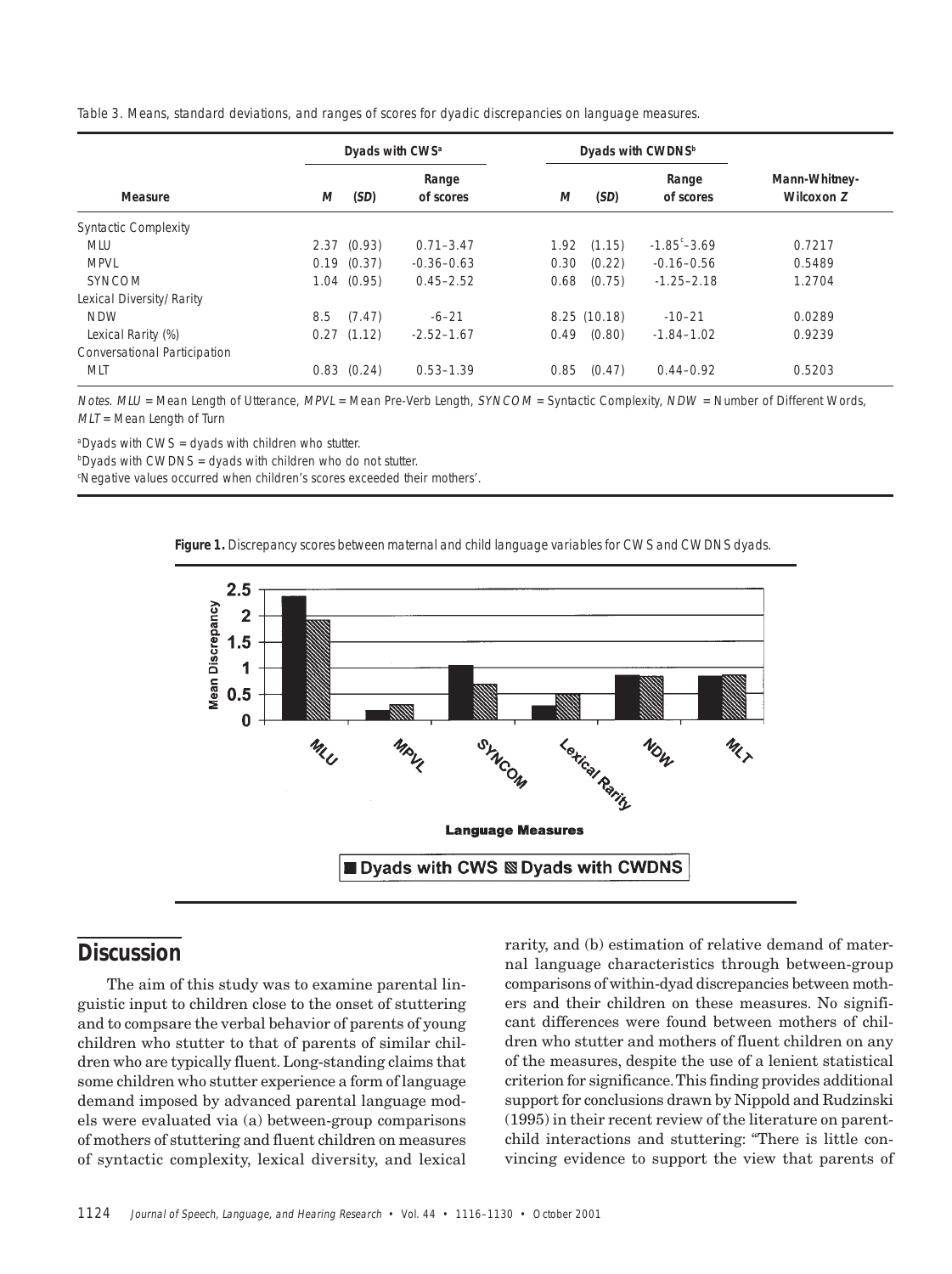Table 3. Means, standard deviations, and ranges of scores for dyadic discrepancies on language measures.

|                              |     | Dyads with CWS <sup>a</sup> |                    |      | Dyads with CWDNS <sup>b</sup> |                        |                             |
|------------------------------|-----|-----------------------------|--------------------|------|-------------------------------|------------------------|-----------------------------|
| Measure                      | М   | (SD)                        | Range<br>of scores | M    | (SD)                          | Range<br>of scores     | Mann-Whitney-<br>Wilcoxon Z |
| <b>Syntactic Complexity</b>  |     |                             |                    |      |                               |                        |                             |
| MLU                          |     | 2.37(0.93)                  | $0.71 - 3.47$      | 1.92 | (1.15)                        | $-1.85^{\circ} - 3.69$ | 0.7217                      |
| <b>MPVL</b>                  |     | 0.19(0.37)                  | $-0.36 - 0.63$     | 0.30 | (0.22)                        | $-0.16 - 0.56$         | 0.5489                      |
| <b>SYNCOM</b>                |     | 1.04(0.95)                  | $0.45 - 2.52$      | 0.68 | (0.75)                        | $-1.25 - 2.18$         | 1.2704                      |
| Lexical Diversity/Rarity     |     |                             |                    |      |                               |                        |                             |
| <b>NDW</b>                   | 8.5 | (7.47)                      | $-6 - 21$          |      | 8.25(10.18)                   | $-10-21$               | 0.0289                      |
| Lexical Rarity (%)           |     | 0.27(1.12)                  | $-2.52 - 1.67$     | 0.49 | (0.80)                        | $-1.84 - 1.02$         | 0.9239                      |
| Conversational Participation |     |                             |                    |      |                               |                        |                             |
| <b>MLT</b>                   |     | $0.83$ $(0.24)$             | $0.53 - 1.39$      | 0.85 | (0.47)                        | $0.44 - 0.92$          | 0.5203                      |

Notes. MLU = Mean Length of Utterance, MPVL = Mean Pre-Verb Length, SYNCOM = Syntactic Complexity, NDW = Number of Different Words,  $MLT = Mean$  Length of Turn

a Dyads with CWS = dyads with children who stutter.

b Dyads with CWDNS = dyads with children who do not stutter.

c Negative values occurred when children's scores exceeded their mothers'.

**Figure 1.** Discrepancy scores between maternal and child language variables for CWS and CWDNS dyads.



## **Discussion**

The aim of this study was to examine parental linguistic input to children close to the onset of stuttering and to compsare the verbal behavior of parents of young children who stutter to that of parents of similar children who are typically fluent. Long-standing claims that some children who stutter experience a form of language demand imposed by advanced parental language models were evaluated via (a) between-group comparisons of mothers of stuttering and fluent children on measures of syntactic complexity, lexical diversity, and lexical

rarity, and (b) estimation of relative demand of maternal language characteristics through between-group comparisons of within-dyad discrepancies between mothers and their children on these measures. No significant differences were found between mothers of children who stutter and mothers of fluent children on any of the measures, despite the use of a lenient statistical criterion for significance. This finding provides additional support for conclusions drawn by Nippold and Rudzinski (1995) in their recent review of the literature on parentchild interactions and stuttering: "There is little convincing evidence to support the view that parents of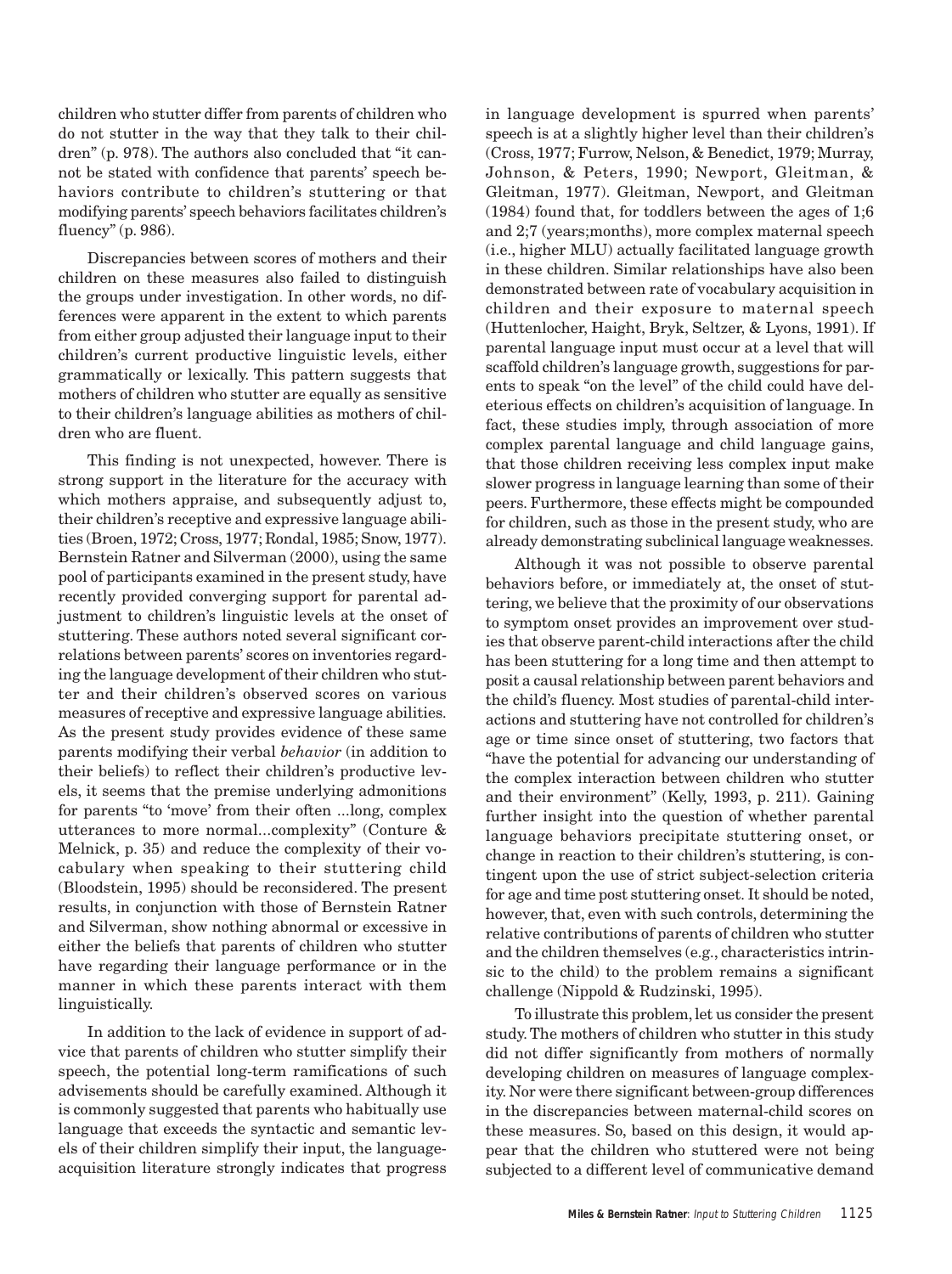children who stutter differ from parents of children who do not stutter in the way that they talk to their children" (p. 978). The authors also concluded that "it cannot be stated with confidence that parents' speech behaviors contribute to children's stuttering or that modifying parents' speech behaviors facilitates children's fluency" (p. 986).

Discrepancies between scores of mothers and their children on these measures also failed to distinguish the groups under investigation. In other words, no differences were apparent in the extent to which parents from either group adjusted their language input to their children's current productive linguistic levels, either grammatically or lexically. This pattern suggests that mothers of children who stutter are equally as sensitive to their children's language abilities as mothers of children who are fluent.

This finding is not unexpected, however. There is strong support in the literature for the accuracy with which mothers appraise, and subsequently adjust to, their children's receptive and expressive language abilities (Broen, 1972; Cross, 1977; Rondal, 1985; Snow, 1977). Bernstein Ratner and Silverman (2000), using the same pool of participants examined in the present study, have recently provided converging support for parental adjustment to children's linguistic levels at the onset of stuttering. These authors noted several significant correlations between parents' scores on inventories regarding the language development of their children who stutter and their children's observed scores on various measures of receptive and expressive language abilities. As the present study provides evidence of these same parents modifying their verbal *behavior* (in addition to their beliefs) to reflect their children's productive levels, it seems that the premise underlying admonitions for parents "to 'move' from their often ...long, complex utterances to more normal...complexity" (Conture & Melnick, p. 35) and reduce the complexity of their vocabulary when speaking to their stuttering child (Bloodstein, 1995) should be reconsidered. The present results, in conjunction with those of Bernstein Ratner and Silverman, show nothing abnormal or excessive in either the beliefs that parents of children who stutter have regarding their language performance or in the manner in which these parents interact with them linguistically.

In addition to the lack of evidence in support of advice that parents of children who stutter simplify their speech, the potential long-term ramifications of such advisements should be carefully examined. Although it is commonly suggested that parents who habitually use language that exceeds the syntactic and semantic levels of their children simplify their input, the languageacquisition literature strongly indicates that progress in language development is spurred when parents' speech is at a slightly higher level than their children's (Cross, 1977; Furrow, Nelson, & Benedict, 1979; Murray, Johnson, & Peters, 1990; Newport, Gleitman, & Gleitman, 1977). Gleitman, Newport, and Gleitman (1984) found that, for toddlers between the ages of 1;6 and 2;7 (years;months), more complex maternal speech (i.e., higher MLU) actually facilitated language growth in these children. Similar relationships have also been demonstrated between rate of vocabulary acquisition in children and their exposure to maternal speech (Huttenlocher, Haight, Bryk, Seltzer, & Lyons, 1991). If parental language input must occur at a level that will scaffold children's language growth, suggestions for parents to speak "on the level" of the child could have deleterious effects on children's acquisition of language. In fact, these studies imply, through association of more complex parental language and child language gains, that those children receiving less complex input make slower progress in language learning than some of their peers. Furthermore, these effects might be compounded for children, such as those in the present study, who are already demonstrating subclinical language weaknesses.

Although it was not possible to observe parental behaviors before, or immediately at, the onset of stuttering, we believe that the proximity of our observations to symptom onset provides an improvement over studies that observe parent-child interactions after the child has been stuttering for a long time and then attempt to posit a causal relationship between parent behaviors and the child's fluency. Most studies of parental-child interactions and stuttering have not controlled for children's age or time since onset of stuttering, two factors that "have the potential for advancing our understanding of the complex interaction between children who stutter and their environment" (Kelly, 1993, p. 211). Gaining further insight into the question of whether parental language behaviors precipitate stuttering onset, or change in reaction to their children's stuttering, is contingent upon the use of strict subject-selection criteria for age and time post stuttering onset. It should be noted, however, that, even with such controls, determining the relative contributions of parents of children who stutter and the children themselves (e.g., characteristics intrinsic to the child) to the problem remains a significant challenge (Nippold & Rudzinski, 1995).

To illustrate this problem, let us consider the present study. The mothers of children who stutter in this study did not differ significantly from mothers of normally developing children on measures of language complexity. Nor were there significant between-group differences in the discrepancies between maternal-child scores on these measures. So, based on this design, it would appear that the children who stuttered were not being subjected to a different level of communicative demand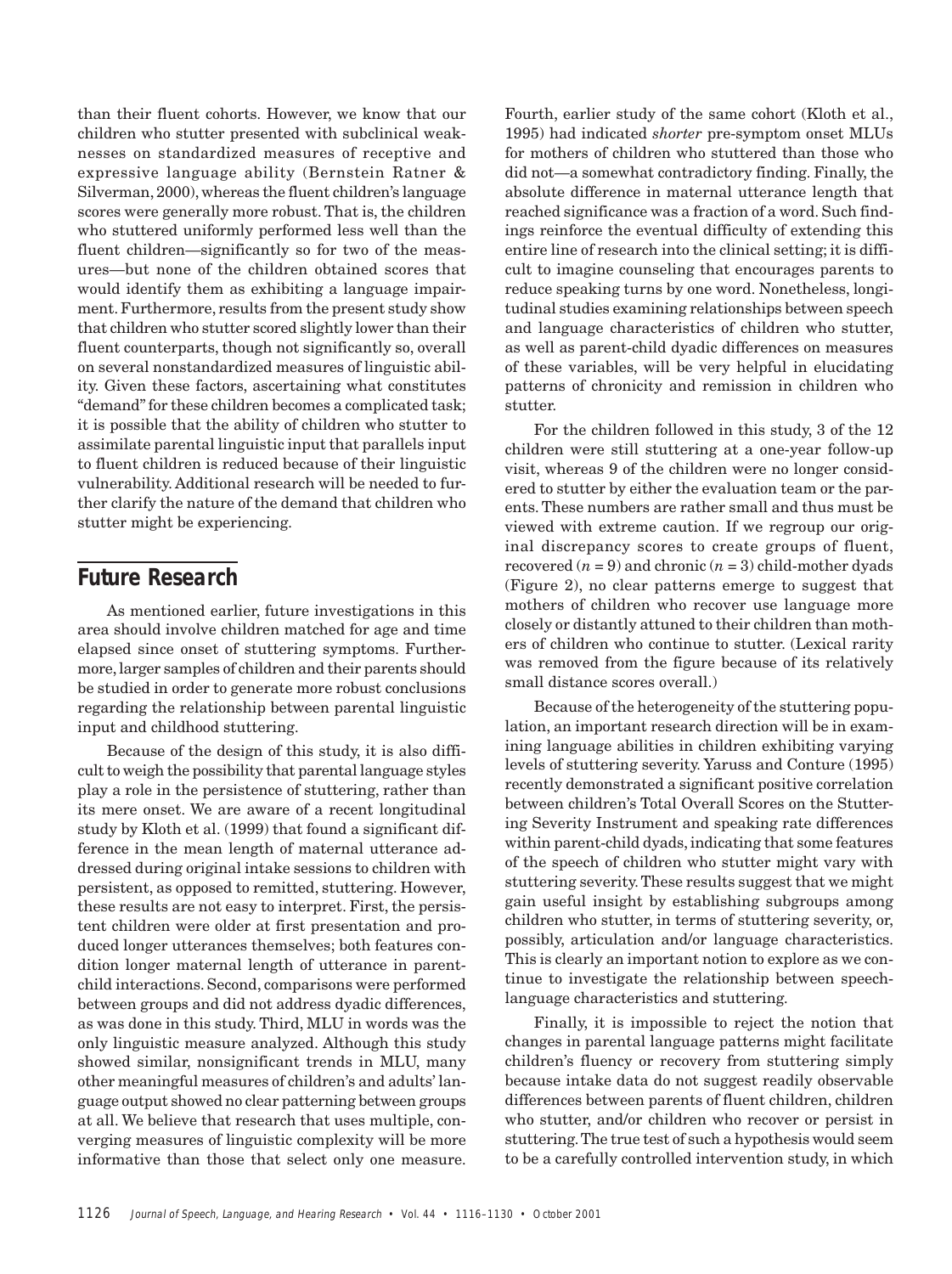than their fluent cohorts. However, we know that our children who stutter presented with subclinical weaknesses on standardized measures of receptive and expressive language ability (Bernstein Ratner & Silverman, 2000), whereas the fluent children's language scores were generally more robust. That is, the children who stuttered uniformly performed less well than the fluent children—significantly so for two of the measures—but none of the children obtained scores that would identify them as exhibiting a language impairment. Furthermore, results from the present study show that children who stutter scored slightly lower than their fluent counterparts, though not significantly so, overall on several nonstandardized measures of linguistic ability. Given these factors, ascertaining what constitutes "demand" for these children becomes a complicated task; it is possible that the ability of children who stutter to assimilate parental linguistic input that parallels input to fluent children is reduced because of their linguistic vulnerability. Additional research will be needed to further clarify the nature of the demand that children who stutter might be experiencing.

## **Future Research**

As mentioned earlier, future investigations in this area should involve children matched for age and time elapsed since onset of stuttering symptoms. Furthermore, larger samples of children and their parents should be studied in order to generate more robust conclusions regarding the relationship between parental linguistic input and childhood stuttering.

Because of the design of this study, it is also difficult to weigh the possibility that parental language styles play a role in the persistence of stuttering, rather than its mere onset. We are aware of a recent longitudinal study by Kloth et al. (1999) that found a significant difference in the mean length of maternal utterance addressed during original intake sessions to children with persistent, as opposed to remitted, stuttering. However, these results are not easy to interpret. First, the persistent children were older at first presentation and produced longer utterances themselves; both features condition longer maternal length of utterance in parentchild interactions. Second, comparisons were performed between groups and did not address dyadic differences, as was done in this study. Third, MLU in words was the only linguistic measure analyzed. Although this study showed similar, nonsignificant trends in MLU, many other meaningful measures of children's and adults' language output showed no clear patterning between groups at all. We believe that research that uses multiple, converging measures of linguistic complexity will be more informative than those that select only one measure. Fourth, earlier study of the same cohort (Kloth et al., 1995) had indicated *shorter* pre-symptom onset MLUs for mothers of children who stuttered than those who did not—a somewhat contradictory finding. Finally, the absolute difference in maternal utterance length that reached significance was a fraction of a word. Such findings reinforce the eventual difficulty of extending this entire line of research into the clinical setting; it is difficult to imagine counseling that encourages parents to reduce speaking turns by one word. Nonetheless, longitudinal studies examining relationships between speech and language characteristics of children who stutter, as well as parent-child dyadic differences on measures of these variables, will be very helpful in elucidating patterns of chronicity and remission in children who stutter.

For the children followed in this study, 3 of the 12 children were still stuttering at a one-year follow-up visit, whereas 9 of the children were no longer considered to stutter by either the evaluation team or the parents. These numbers are rather small and thus must be viewed with extreme caution. If we regroup our original discrepancy scores to create groups of fluent, recovered  $(n = 9)$  and chronic  $(n = 3)$  child-mother dyads (Figure 2), no clear patterns emerge to suggest that mothers of children who recover use language more closely or distantly attuned to their children than mothers of children who continue to stutter. (Lexical rarity was removed from the figure because of its relatively small distance scores overall.)

Because of the heterogeneity of the stuttering population, an important research direction will be in examining language abilities in children exhibiting varying levels of stuttering severity. Yaruss and Conture (1995) recently demonstrated a significant positive correlation between children's Total Overall Scores on the Stuttering Severity Instrument and speaking rate differences within parent-child dyads, indicating that some features of the speech of children who stutter might vary with stuttering severity. These results suggest that we might gain useful insight by establishing subgroups among children who stutter, in terms of stuttering severity, or, possibly, articulation and/or language characteristics. This is clearly an important notion to explore as we continue to investigate the relationship between speechlanguage characteristics and stuttering.

Finally, it is impossible to reject the notion that changes in parental language patterns might facilitate children's fluency or recovery from stuttering simply because intake data do not suggest readily observable differences between parents of fluent children, children who stutter, and/or children who recover or persist in stuttering. The true test of such a hypothesis would seem to be a carefully controlled intervention study, in which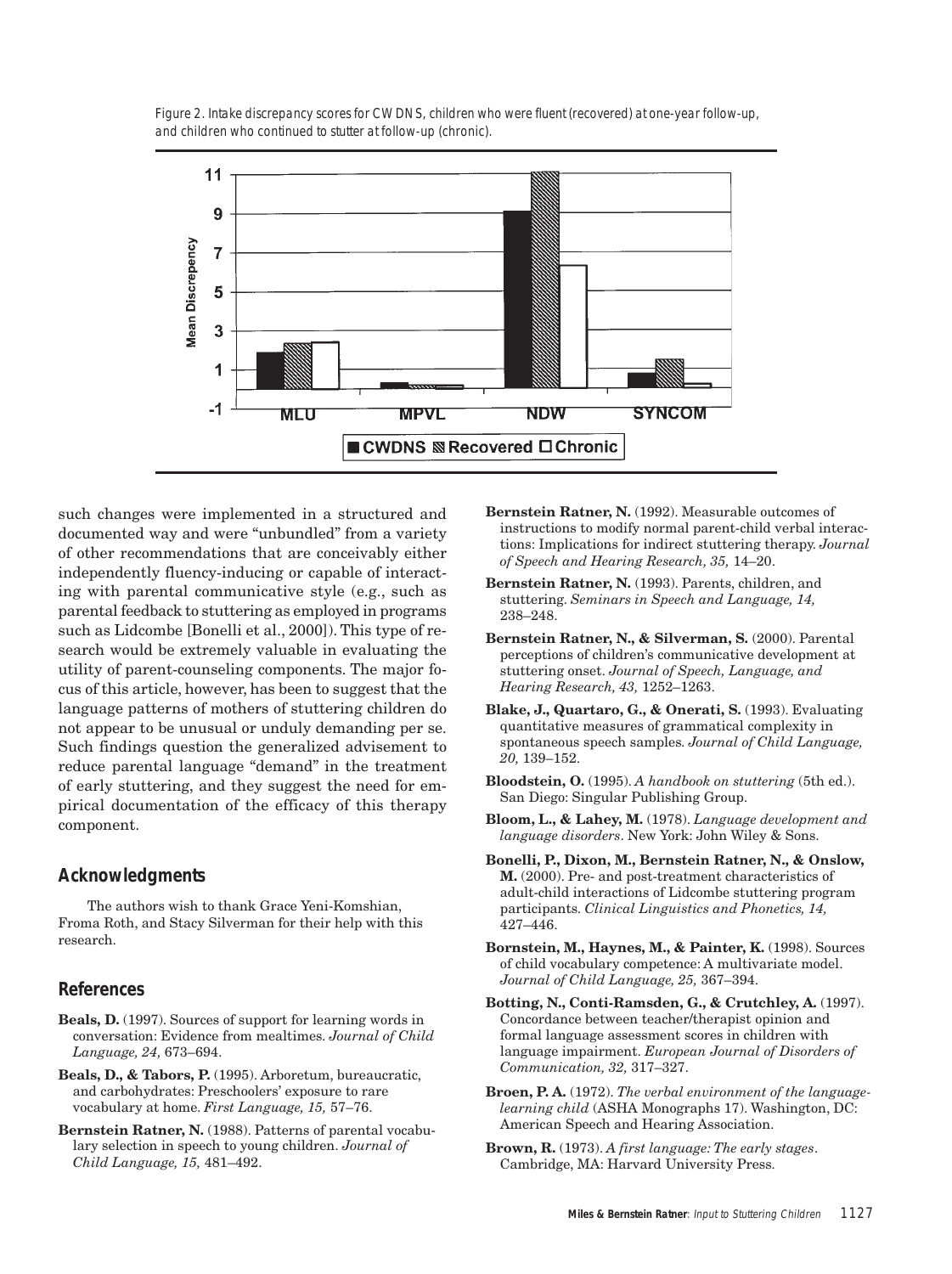Figure 2. Intake discrepancy scores for CWDNS, children who were fluent (recovered) at one-year follow-up, and children who continued to stutter at follow-up (chronic).



such changes were implemented in a structured and documented way and were "unbundled" from a variety of other recommendations that are conceivably either independently fluency-inducing or capable of interacting with parental communicative style (e.g., such as parental feedback to stuttering as employed in programs such as Lidcombe [Bonelli et al., 2000]). This type of research would be extremely valuable in evaluating the utility of parent-counseling components. The major focus of this article, however, has been to suggest that the language patterns of mothers of stuttering children do not appear to be unusual or unduly demanding per se. Such findings question the generalized advisement to reduce parental language "demand" in the treatment of early stuttering, and they suggest the need for empirical documentation of the efficacy of this therapy component.

#### **Acknowledgments**

The authors wish to thank Grace Yeni-Komshian, Froma Roth, and Stacy Silverman for their help with this research.

## **References**

- **Beals, D.** (1997). Sources of support for learning words in conversation: Evidence from mealtimes. *Journal of Child Language, 24,* 673–694.
- **Beals, D., & Tabors, P.** (1995). Arboretum, bureaucratic, and carbohydrates: Preschoolers' exposure to rare vocabulary at home. *First Language, 15,* 57–76.
- **Bernstein Ratner, N.** (1988). Patterns of parental vocabulary selection in speech to young children. *Journal of Child Language, 15,* 481–492.
- **Bernstein Ratner, N.** (1992). Measurable outcomes of instructions to modify normal parent-child verbal interactions: Implications for indirect stuttering therapy. *Journal of Speech and Hearing Research, 35,* 14–20.
- **Bernstein Ratner, N.** (1993). Parents, children, and stuttering. *Seminars in Speech and Language, 14,* 238–248.
- **Bernstein Ratner, N., & Silverman, S.** (2000). Parental perceptions of children's communicative development at stuttering onset. *Journal of Speech, Language, and Hearing Research, 43,* 1252–1263.
- **Blake, J., Quartaro, G., & Onerati, S.** (1993). Evaluating quantitative measures of grammatical complexity in spontaneous speech samples. *Journal of Child Language, 20,* 139–152.
- **Bloodstein, O.** (1995). *A handbook on stuttering* (5th ed.). San Diego: Singular Publishing Group.
- **Bloom, L., & Lahey, M.** (1978). *Language development and language disorders*. New York: John Wiley & Sons.
- **Bonelli, P., Dixon, M., Bernstein Ratner, N., & Onslow, M.** (2000). Pre- and post-treatment characteristics of adult-child interactions of Lidcombe stuttering program participants. *Clinical Linguistics and Phonetics, 14,* 427–446.
- **Bornstein, M., Haynes, M., & Painter, K.** (1998). Sources of child vocabulary competence: A multivariate model. *Journal of Child Language, 25,* 367–394.
- **Botting, N., Conti-Ramsden, G., & Crutchley, A.** (1997). Concordance between teacher/therapist opinion and formal language assessment scores in children with language impairment. *European Journal of Disorders of Communication, 32,* 317–327.
- **Broen, P. A.** (1972). *The verbal environment of the languagelearning child* (ASHA Monographs 17). Washington, DC: American Speech and Hearing Association.
- **Brown, R.** (1973). *A first language: The early stages*. Cambridge, MA: Harvard University Press.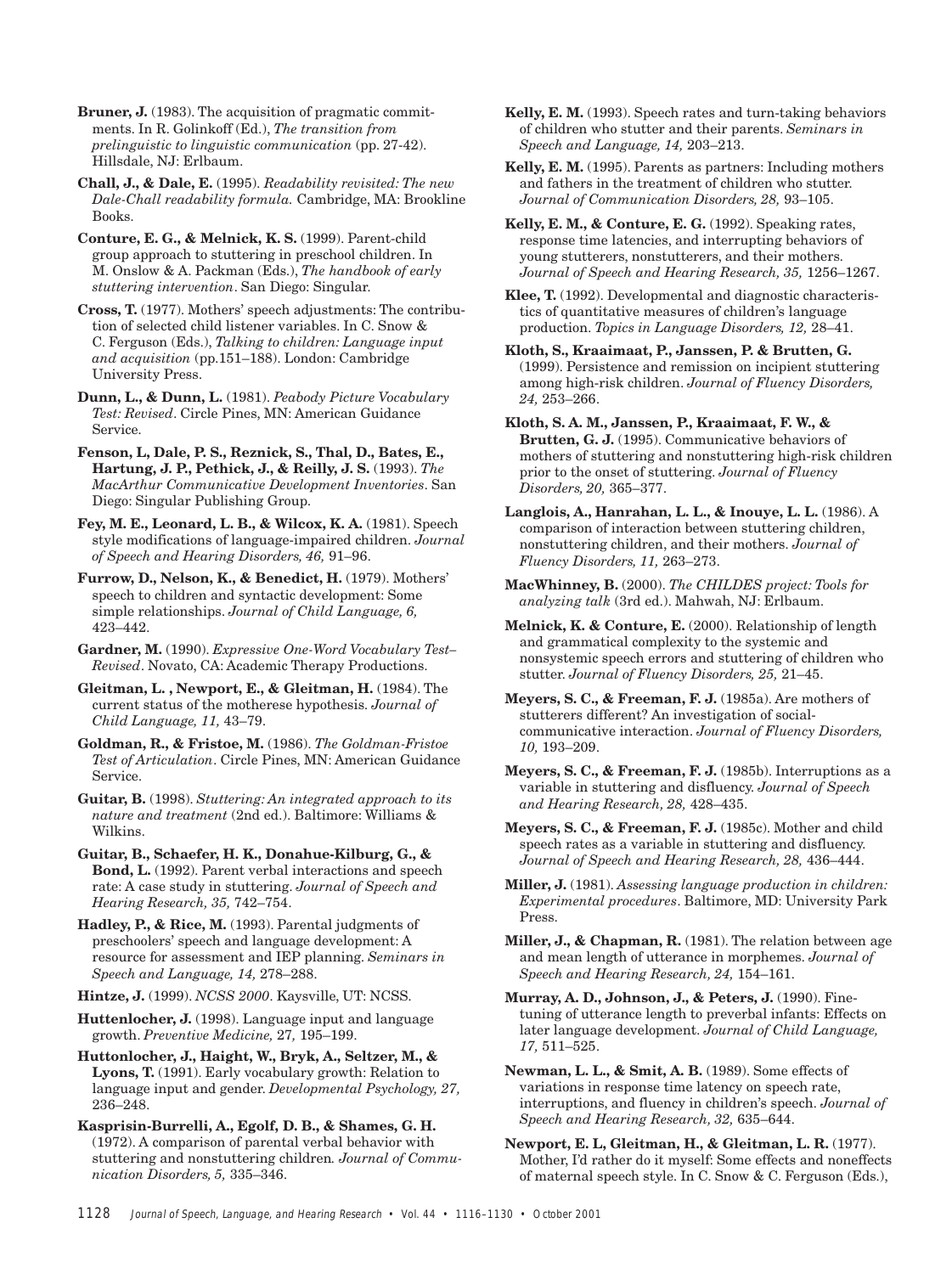**Bruner, J.** (1983). The acquisition of pragmatic commitments. In R. Golinkoff (Ed.), *The transition from prelinguistic to linguistic communication* (pp. 27-42). Hillsdale, NJ: Erlbaum.

**Chall, J., & Dale, E.** (1995). *Readability revisited: The new Dale-Chall readability formula.* Cambridge, MA: Brookline Books.

**Conture, E. G., & Melnick, K. S.** (1999). Parent-child group approach to stuttering in preschool children. In M. Onslow & A. Packman (Eds.), *The handbook of early stuttering intervention*. San Diego: Singular.

**Cross, T.** (1977). Mothers' speech adjustments: The contribution of selected child listener variables. In C. Snow & C. Ferguson (Eds.), *Talking to children: Language input and acquisition* (pp.151–188). London: Cambridge University Press.

**Dunn, L., & Dunn, L.** (1981). *Peabody Picture Vocabulary Test: Revised*. Circle Pines, MN: American Guidance Service.

**Fenson, L, Dale, P. S., Reznick, S., Thal, D., Bates, E., Hartung, J. P., Pethick, J., & Reilly, J. S.** (1993). *The MacArthur Communicative Development Inventories*. San Diego: Singular Publishing Group.

**Fey, M. E., Leonard, L. B., & Wilcox, K. A.** (1981). Speech style modifications of language-impaired children. *Journal of Speech and Hearing Disorders, 46,* 91–96.

**Furrow, D., Nelson, K., & Benedict, H.** (1979). Mothers' speech to children and syntactic development: Some simple relationships. *Journal of Child Language, 6,* 423–442.

**Gardner, M.** (1990). *Expressive One-Word Vocabulary Test– Revised*. Novato, CA: Academic Therapy Productions.

**Gleitman, L. , Newport, E., & Gleitman, H.** (1984). The current status of the motherese hypothesis. *Journal of Child Language, 11,* 43–79.

**Goldman, R., & Fristoe, M.** (1986). *The Goldman-Fristoe Test of Articulation*. Circle Pines, MN: American Guidance Service.

**Guitar, B.** (1998). *Stuttering: An integrated approach to its nature and treatment* (2nd ed.). Baltimore: Williams & Wilkins.

**Guitar, B., Schaefer, H. K., Donahue-Kilburg, G., & Bond, L.** (1992). Parent verbal interactions and speech rate: A case study in stuttering. *Journal of Speech and Hearing Research, 35,* 742–754.

**Hadley, P., & Rice, M.** (1993). Parental judgments of preschoolers' speech and language development: A resource for assessment and IEP planning. *Seminars in Speech and Language, 14,* 278–288.

**Hintze, J.** (1999). *NCSS 2000*. Kaysville, UT: NCSS.

**Huttenlocher, J.** (1998). Language input and language growth. *Preventive Medicine,* 27*,* 195–199.

**Huttonlocher, J., Haight, W., Bryk, A., Seltzer, M., & Lyons, T.** (1991). Early vocabulary growth: Relation to language input and gender. *Developmental Psychology, 27,* 236–248.

**Kasprisin-Burrelli, A., Egolf, D. B., & Shames, G. H.** (1972). A comparison of parental verbal behavior with stuttering and nonstuttering children*. Journal of Communication Disorders, 5,* 335–346.

**Kelly, E. M.** (1993). Speech rates and turn-taking behaviors of children who stutter and their parents. *Seminars in Speech and Language, 14,* 203–213.

**Kelly, E. M.** (1995). Parents as partners: Including mothers and fathers in the treatment of children who stutter. *Journal of Communication Disorders, 28,* 93–105.

**Kelly, E. M., & Conture, E. G.** (1992). Speaking rates, response time latencies, and interrupting behaviors of young stutterers, nonstutterers, and their mothers. *Journal of Speech and Hearing Research, 35,* 1256–1267.

**Klee, T.** (1992). Developmental and diagnostic characteristics of quantitative measures of children's language production. *Topics in Language Disorders, 12,* 28–41.

**Kloth, S., Kraaimaat, P., Janssen, P. & Brutten, G.** (1999). Persistence and remission on incipient stuttering among high-risk children. *Journal of Fluency Disorders, 24,* 253–266.

**Kloth, S. A. M., Janssen, P., Kraaimaat, F. W., & Brutten, G. J.** (1995). Communicative behaviors of mothers of stuttering and nonstuttering high-risk children prior to the onset of stuttering. *Journal of Fluency Disorders, 20,* 365–377.

**Langlois, A., Hanrahan, L. L., & Inouye, L. L.** (1986). A comparison of interaction between stuttering children, nonstuttering children, and their mothers. *Journal of Fluency Disorders, 11,* 263–273.

**MacWhinney, B.** (2000). *The CHILDES project: Tools for analyzing talk* (3rd ed.). Mahwah, NJ: Erlbaum.

**Melnick, K. & Conture, E.** (2000). Relationship of length and grammatical complexity to the systemic and nonsystemic speech errors and stuttering of children who stutter. *Journal of Fluency Disorders, 25,* 21–45.

**Meyers, S. C., & Freeman, F. J.** (1985a). Are mothers of stutterers different? An investigation of socialcommunicative interaction. *Journal of Fluency Disorders, 10,* 193–209.

**Meyers, S. C., & Freeman, F. J.** (1985b). Interruptions as a variable in stuttering and disfluency. *Journal of Speech and Hearing Research, 28,* 428–435.

**Meyers, S. C., & Freeman, F. J.** (1985c). Mother and child speech rates as a variable in stuttering and disfluency. *Journal of Speech and Hearing Research, 28,* 436–444.

**Miller, J.** (1981). *Assessing language production in children: Experimental procedures*. Baltimore, MD: University Park Press.

**Miller, J., & Chapman, R.** (1981). The relation between age and mean length of utterance in morphemes. *Journal of Speech and Hearing Research, 24,* 154–161.

**Murray, A. D., Johnson, J., & Peters, J.** (1990). Finetuning of utterance length to preverbal infants: Effects on later language development. *Journal of Child Language, 17,* 511–525.

**Newman, L. L., & Smit, A. B.** (1989). Some effects of variations in response time latency on speech rate, interruptions, and fluency in children's speech. *Journal of Speech and Hearing Research, 32,* 635–644.

**Newport, E. L, Gleitman, H., & Gleitman, L. R.** (1977). Mother, I'd rather do it myself: Some effects and noneffects of maternal speech style. In C. Snow & C. Ferguson (Eds.),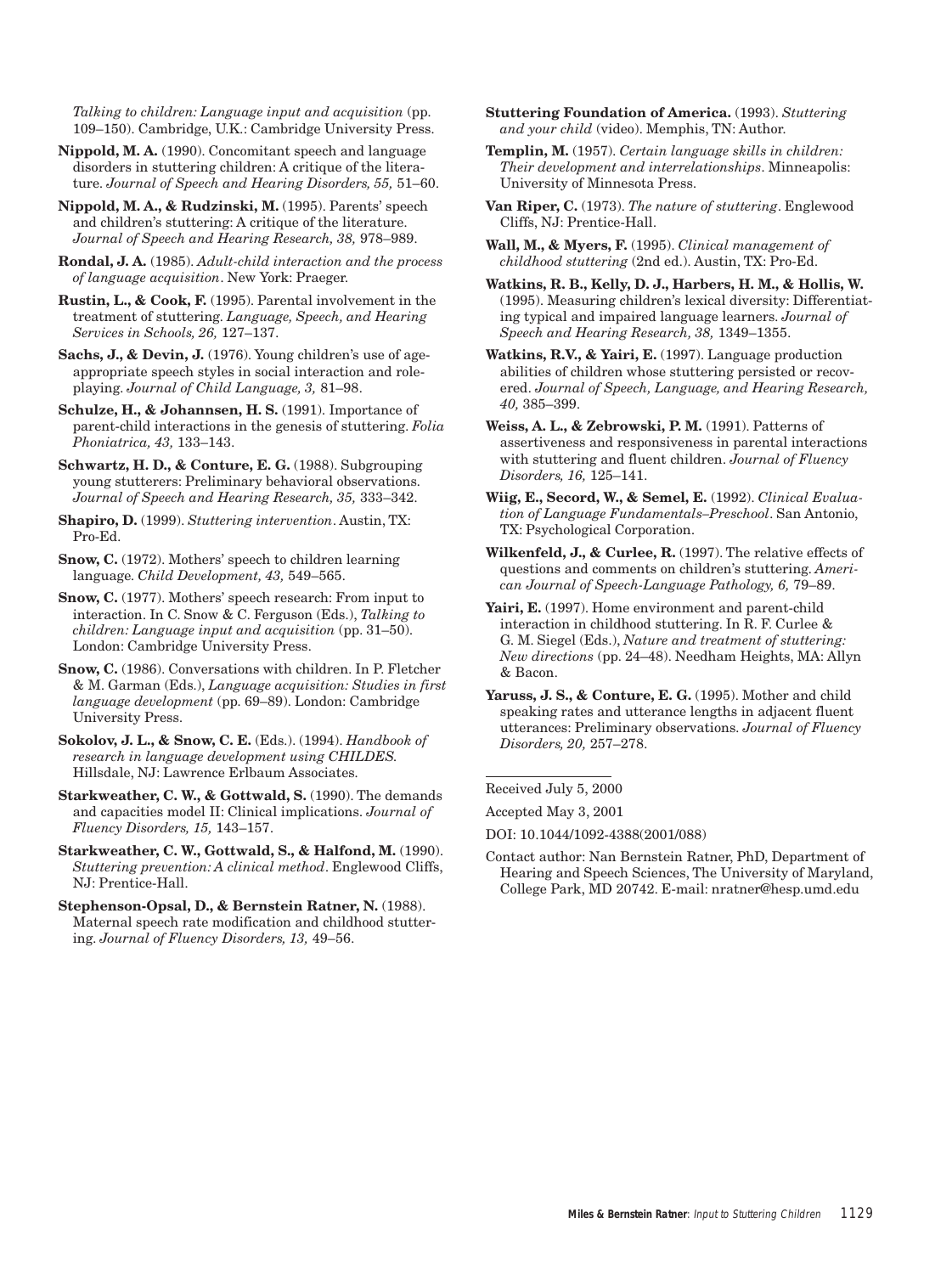*Talking to children: Language input and acquisition* (pp. 109–150). Cambridge, U.K.: Cambridge University Press.

**Nippold, M. A.** (1990). Concomitant speech and language disorders in stuttering children: A critique of the literature. *Journal of Speech and Hearing Disorders, 55,* 51–60.

**Nippold, M. A., & Rudzinski, M.** (1995). Parents' speech and children's stuttering: A critique of the literature. *Journal of Speech and Hearing Research, 38,* 978–989.

**Rondal, J. A.** (1985). *Adult-child interaction and the process of language acquisition*. New York: Praeger.

**Rustin, L., & Cook, F.** (1995). Parental involvement in the treatment of stuttering. *Language, Speech, and Hearing Services in Schools, 26,* 127–137.

**Sachs, J., & Devin, J.** (1976). Young children's use of ageappropriate speech styles in social interaction and roleplaying. *Journal of Child Language, 3,* 81–98.

**Schulze, H., & Johannsen, H. S.** (1991). Importance of parent-child interactions in the genesis of stuttering. *Folia Phoniatrica, 43,* 133–143.

**Schwartz, H. D., & Conture, E. G.** (1988). Subgrouping young stutterers: Preliminary behavioral observations. *Journal of Speech and Hearing Research, 35,* 333–342.

**Shapiro, D.** (1999). *Stuttering intervention*. Austin, TX: Pro-Ed.

**Snow, C.** (1972). Mothers' speech to children learning language. *Child Development, 43,* 549–565.

**Snow, C.** (1977). Mothers' speech research: From input to interaction. In C. Snow & C. Ferguson (Eds.), *Talking to children: Language input and acquisition* (pp. 31–50). London: Cambridge University Press.

**Snow, C.** (1986). Conversations with children. In P. Fletcher & M. Garman (Eds.), *Language acquisition: Studies in first language development* (pp. 69–89). London: Cambridge University Press.

**Sokolov, J. L., & Snow, C. E.** (Eds.). (1994). *Handbook of research in language development using CHILDES.* Hillsdale, NJ: Lawrence Erlbaum Associates.

**Starkweather, C. W., & Gottwald, S.** (1990). The demands and capacities model II: Clinical implications. *Journal of Fluency Disorders, 15,* 143–157.

**Starkweather, C. W., Gottwald, S., & Halfond, M.** (1990). *Stuttering prevention: A clinical method*. Englewood Cliffs, NJ: Prentice-Hall.

**Stephenson-Opsal, D., & Bernstein Ratner, N.** (1988). Maternal speech rate modification and childhood stuttering. *Journal of Fluency Disorders, 13,* 49–56.

**Stuttering Foundation of America.** (1993). *Stuttering and your child* (video). Memphis, TN: Author.

**Templin, M.** (1957). *Certain language skills in children: Their development and interrelationships*. Minneapolis: University of Minnesota Press.

**Van Riper, C.** (1973). *The nature of stuttering*. Englewood Cliffs, NJ: Prentice-Hall.

**Wall, M., & Myers, F.** (1995). *Clinical management of childhood stuttering* (2nd ed.). Austin, TX: Pro-Ed.

**Watkins, R. B., Kelly, D. J., Harbers, H. M., & Hollis, W.** (1995). Measuring children's lexical diversity: Differentiating typical and impaired language learners. *Journal of Speech and Hearing Research, 38,* 1349–1355.

**Watkins, R.V., & Yairi, E.** (1997). Language production abilities of children whose stuttering persisted or recovered. *Journal of Speech, Language, and Hearing Research, 40,* 385–399.

**Weiss, A. L., & Zebrowski, P. M.** (1991). Patterns of assertiveness and responsiveness in parental interactions with stuttering and fluent children. *Journal of Fluency Disorders, 16,* 125–141.

**Wiig, E., Secord, W., & Semel, E.** (1992). *Clinical Evaluation of Language Fundamentals–Preschool*. San Antonio, TX: Psychological Corporation.

**Wilkenfeld, J., & Curlee, R.** (1997). The relative effects of questions and comments on children's stuttering. *American Journal of Speech-Language Pathology, 6,* 79–89.

Yairi, E. (1997). Home environment and parent-child interaction in childhood stuttering. In R. F. Curlee & G. M. Siegel (Eds.), *Nature and treatment of stuttering: New directions* (pp. 24–48). Needham Heights, MA: Allyn & Bacon.

**Yaruss, J. S., & Conture, E. G.** (1995). Mother and child speaking rates and utterance lengths in adjacent fluent utterances: Preliminary observations. *Journal of Fluency Disorders, 20,* 257–278.

Received July 5, 2000

Accepted May 3, 2001

DOI: 10.1044/1092-4388(2001/088)

Contact author: Nan Bernstein Ratner, PhD, Department of Hearing and Speech Sciences, The University of Maryland, College Park, MD 20742. E-mail: nratner@hesp.umd.edu